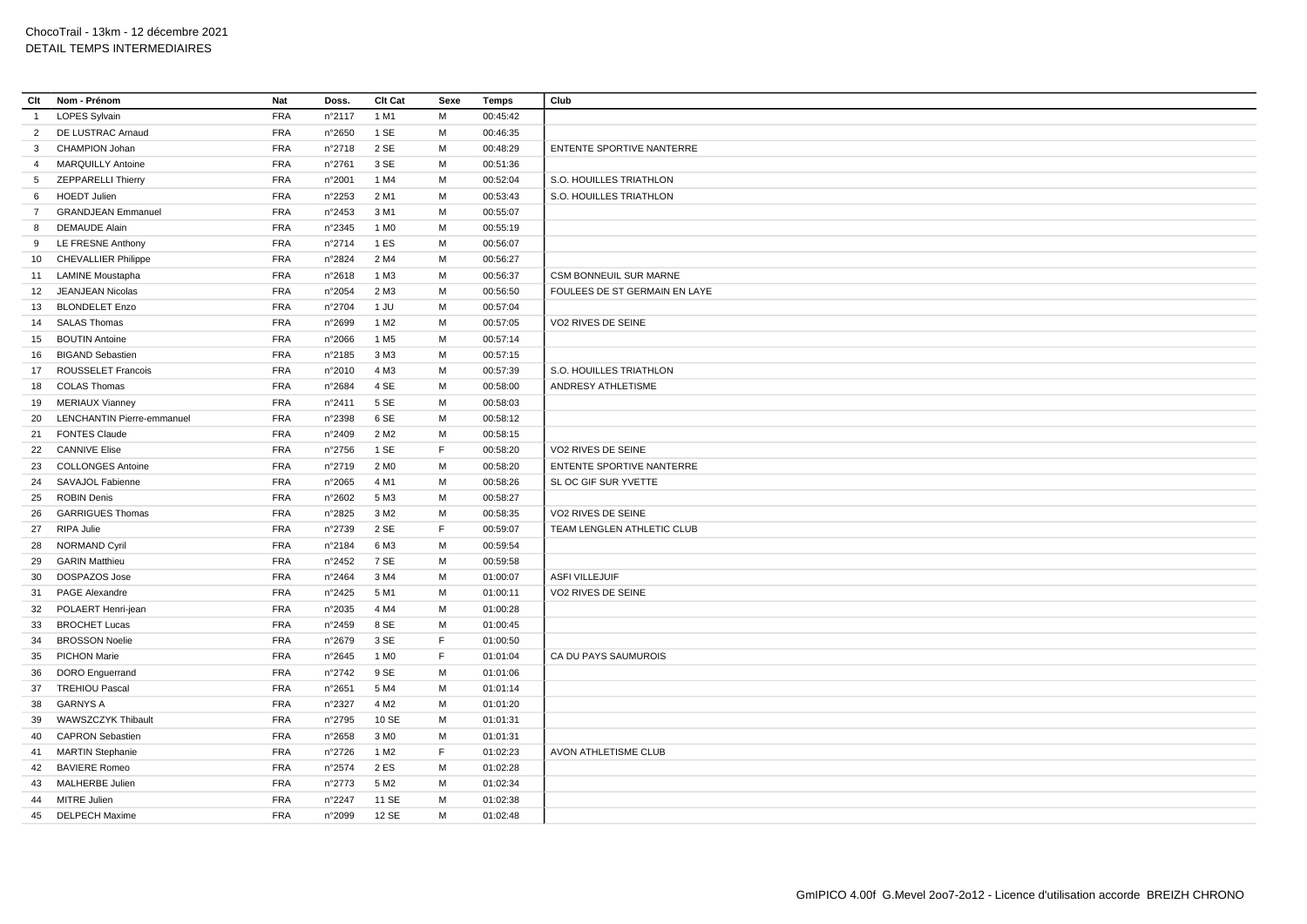| Clt             | Nom - Prénom                      | Nat        | Doss.  | Clt Cat          | Sexe        | Temps    | Club                          |
|-----------------|-----------------------------------|------------|--------|------------------|-------------|----------|-------------------------------|
| $\overline{1}$  | <b>LOPES Sylvain</b>              | <b>FRA</b> | n°2117 | 1 M1             | M           | 00:45:42 |                               |
| $\overline{2}$  | DE LUSTRAC Arnaud                 | <b>FRA</b> | n°2650 | 1 SE             | M           | 00:46:35 |                               |
| $\mathbf{3}$    | CHAMPION Johan                    | <b>FRA</b> | n°2718 | 2 SE             | M           | 00:48:29 | ENTENTE SPORTIVE NANTERRE     |
| $\overline{4}$  | <b>MARQUILLY Antoine</b>          | <b>FRA</b> | n°2761 | 3 SE             | M           | 00:51:36 |                               |
| $5\overline{)}$ | <b>ZEPPARELLI Thierry</b>         | <b>FRA</b> | n°2001 | 1 M4             | M           | 00:52:04 | S.O. HOUILLES TRIATHLON       |
| 6               | <b>HOEDT Julien</b>               | <b>FRA</b> | n°2253 | 2 M1             | М           | 00:53:43 | S.O. HOUILLES TRIATHLON       |
| $\overline{7}$  | <b>GRANDJEAN Emmanuel</b>         | <b>FRA</b> | n°2453 | 3 M1             | M           | 00:55:07 |                               |
| 8               | <b>DEMAUDE Alain</b>              | <b>FRA</b> | n°2345 | 1 M <sub>0</sub> | М           | 00:55:19 |                               |
| 9               | LE FRESNE Anthony                 | <b>FRA</b> | n°2714 | 1 ES             | M           | 00:56:07 |                               |
| 10 <sup>1</sup> | <b>CHEVALLIER Philippe</b>        | <b>FRA</b> | n°2824 | 2 M4             | M           | 00:56:27 |                               |
| 11              | <b>LAMINE Moustapha</b>           | <b>FRA</b> | n°2618 | 1 M3             | M           | 00:56:37 | CSM BONNEUIL SUR MARNE        |
| 12              | JEANJEAN Nicolas                  | <b>FRA</b> | n°2054 | 2 M3             | M           | 00:56:50 | FOULEES DE ST GERMAIN EN LAYE |
| 13              | <b>BLONDELET Enzo</b>             | <b>FRA</b> | n°2704 | 1 JU             | M           | 00:57:04 |                               |
| 14              | <b>SALAS Thomas</b>               | <b>FRA</b> | n°2699 | 1 M <sub>2</sub> | M           | 00:57:05 | VO2 RIVES DE SEINE            |
| 15              | <b>BOUTIN Antoine</b>             | <b>FRA</b> | n°2066 | 1 M <sub>5</sub> | М           | 00:57:14 |                               |
| 16              | <b>BIGAND Sebastien</b>           | <b>FRA</b> | n°2185 | 3 M3             | M           | 00:57:15 |                               |
| 17              | ROUSSELET Francois                | <b>FRA</b> | n°2010 | 4 M3             | М           | 00:57:39 | S.O. HOUILLES TRIATHLON       |
| 18              | <b>COLAS Thomas</b>               | <b>FRA</b> | n°2684 | 4 SE             | M           | 00:58:00 | ANDRESY ATHLETISME            |
| 19              | <b>MERIAUX Vianney</b>            | <b>FRA</b> | n°2411 | 5 SE             | M           | 00:58:03 |                               |
| 20              | <b>LENCHANTIN Pierre-emmanuel</b> | <b>FRA</b> | n°2398 | 6 SE             | M           | 00:58:12 |                               |
| 21              | <b>FONTES Claude</b>              | <b>FRA</b> | n°2409 | 2 M <sub>2</sub> | М           | 00:58:15 |                               |
| 22              | <b>CANNIVE Elise</b>              | <b>FRA</b> | n°2756 | 1 SE             | F           | 00:58:20 | VO2 RIVES DE SEINE            |
| 23              | <b>COLLONGES Antoine</b>          | <b>FRA</b> | n°2719 | 2 M <sub>0</sub> | M           | 00:58:20 | ENTENTE SPORTIVE NANTERRE     |
| 24              | SAVAJOL Fabienne                  | <b>FRA</b> | n°2065 | 4 M1             | M           | 00:58:26 | SL OC GIF SUR YVETTE          |
| 25              | <b>ROBIN Denis</b>                | <b>FRA</b> | n°2602 | 5 M3             | M           | 00:58:27 |                               |
| 26              | <b>GARRIGUES Thomas</b>           | <b>FRA</b> | n°2825 | 3 M <sub>2</sub> | M           | 00:58:35 | VO2 RIVES DE SEINE            |
| 27              | RIPA Julie                        | <b>FRA</b> | n°2739 | 2 SE             | $\mathsf F$ | 00:59:07 | TEAM LENGLEN ATHLETIC CLUB    |
| 28              | <b>NORMAND Cyril</b>              | <b>FRA</b> | n°2184 | 6 M3             | М           | 00:59:54 |                               |
| 29              | <b>GARIN Matthieu</b>             | <b>FRA</b> | n°2452 | 7 SE             | M           | 00:59:58 |                               |
| 30              | DOSPAZOS Jose                     | <b>FRA</b> | n°2464 | 3 M4             | м           | 01:00:07 | <b>ASFI VILLEJUIF</b>         |
| 31              | PAGE Alexandre                    | <b>FRA</b> | n°2425 | 5 M1             | M           | 01:00:11 | VO2 RIVES DE SEINE            |
| 32              | POLAERT Henri-jean                | <b>FRA</b> | n°2035 | 4 M4             | М           | 01:00:28 |                               |
| 33              | <b>BROCHET Lucas</b>              | <b>FRA</b> | n°2459 | 8 SE             | M           | 01:00:45 |                               |
| 34              | <b>BROSSON Noelie</b>             | <b>FRA</b> | n°2679 | 3 SE             | F           | 01:00:50 |                               |
| 35              | <b>PICHON Marie</b>               | <b>FRA</b> | n°2645 | 1 M <sub>0</sub> | F           | 01:01:04 | CA DU PAYS SAUMUROIS          |
| 36              | <b>DORO</b> Enguerrand            | <b>FRA</b> | n°2742 | 9 SE             | M           | 01:01:06 |                               |
| 37              | <b>TREHIOU Pascal</b>             | <b>FRA</b> | n°2651 | 5 M4             | M           | 01:01:14 |                               |
| 38              | <b>GARNYS A</b>                   | <b>FRA</b> | n°2327 | 4 M <sub>2</sub> | M           | 01:01:20 |                               |
| 39              | WAWSZCZYK Thibault                | <b>FRA</b> | n°2795 | 10 SE            | М           | 01:01:31 |                               |
| 40              | <b>CAPRON Sebastien</b>           | <b>FRA</b> | n°2658 | 3 M <sub>0</sub> | M           | 01:01:31 |                               |
| 41              | <b>MARTIN Stephanie</b>           | <b>FRA</b> | n°2726 | 1 M <sub>2</sub> | F           | 01:02:23 | AVON ATHLETISME CLUB          |
| 42              | <b>BAVIERE Romeo</b>              | <b>FRA</b> | n°2574 | 2 ES             | M           | 01:02:28 |                               |
| 43              | <b>MALHERBE Julien</b>            | <b>FRA</b> | n°2773 | 5 M <sub>2</sub> | М           | 01:02:34 |                               |
| 44              | MITRE Julien                      | <b>FRA</b> | n°2247 | 11 SE            | M           | 01:02:38 |                               |
| 45              | <b>DELPECH Maxime</b>             | <b>FRA</b> | n°2099 | 12 SE            | M           | 01:02:48 |                               |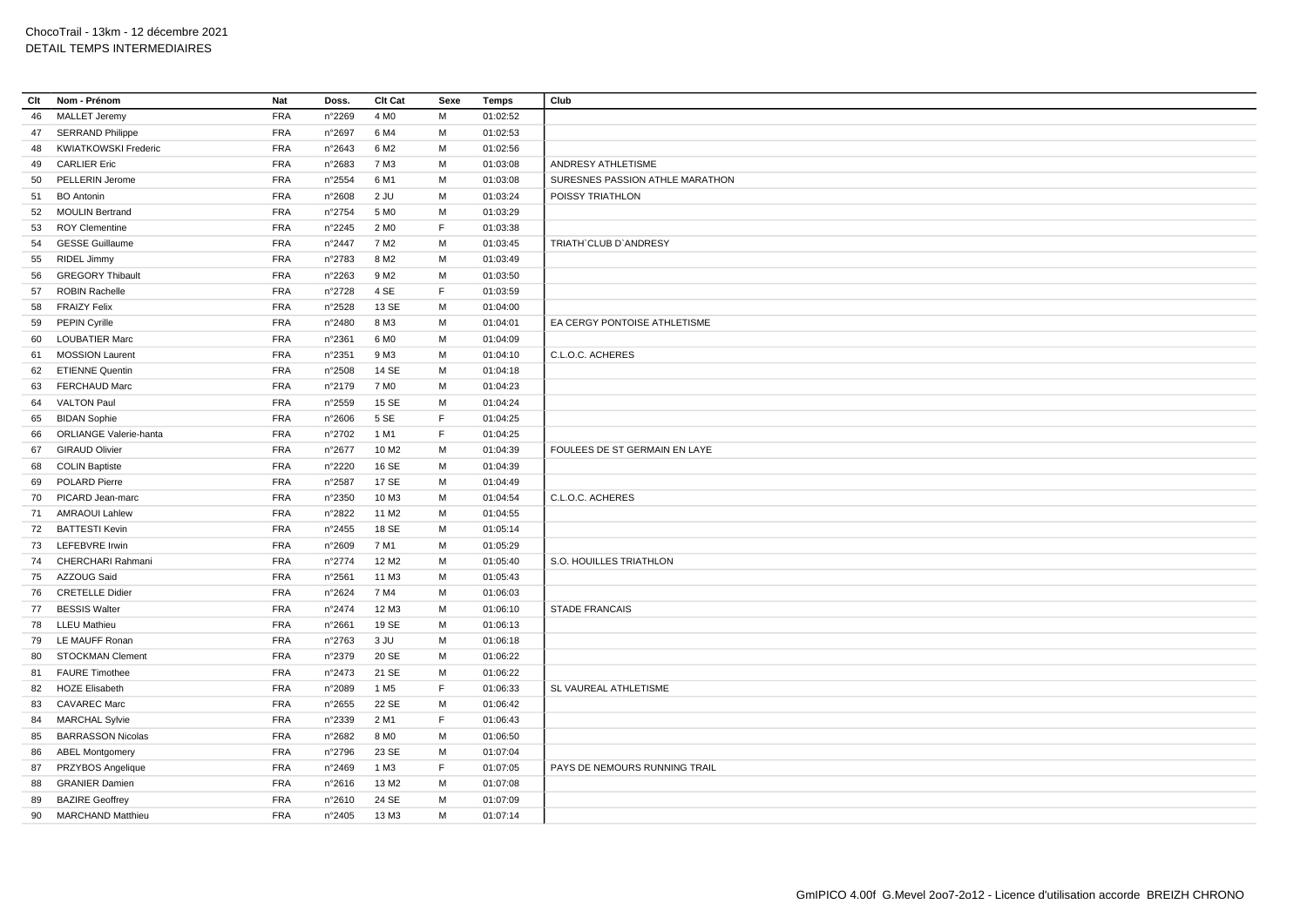| Clt | Nom - Prénom                  | Nat        | Doss.           | Clt Cat           | Sexe | <b>Temps</b> | Club                            |
|-----|-------------------------------|------------|-----------------|-------------------|------|--------------|---------------------------------|
| 46  | <b>MALLET Jeremy</b>          | <b>FRA</b> | n°2269          | 4 M <sub>0</sub>  | м    | 01:02:52     |                                 |
| 47  | <b>SERRAND Philippe</b>       | <b>FRA</b> | n°2697          | 6 M4              | М    | 01:02:53     |                                 |
| 48  | <b>KWIATKOWSKI Frederic</b>   | <b>FRA</b> | $n^{\circ}2643$ | 6 M <sub>2</sub>  | M    | 01:02:56     |                                 |
| 49  | <b>CARLIER Eric</b>           | FRA        | n°2683          | 7 M3              | М    | 01:03:08     | ANDRESY ATHLETISME              |
| 50  | PELLERIN Jerome               | <b>FRA</b> | n°2554          | 6 M1              | M    | 01:03:08     | SURESNES PASSION ATHLE MARATHON |
| 51  | <b>BO</b> Antonin             | <b>FRA</b> | n°2608          | 2 JU              | М    | 01:03:24     | POISSY TRIATHLON                |
| 52  | <b>MOULIN Bertrand</b>        | <b>FRA</b> | n°2754          | 5 M <sub>0</sub>  | M    | 01:03:29     |                                 |
| 53  | <b>ROY Clementine</b>         | <b>FRA</b> | n°2245          | 2 M <sub>0</sub>  | F.   | 01:03:38     |                                 |
| 54  | <b>GESSE Guillaume</b>        | <b>FRA</b> | n°2447          | 7 M <sub>2</sub>  | м    | 01:03:45     | TRIATH' CLUB D'ANDRESY          |
| 55  | RIDEL Jimmy                   | <b>FRA</b> | n°2783          | 8 M <sub>2</sub>  | М    | 01:03:49     |                                 |
| 56  | <b>GREGORY Thibault</b>       | <b>FRA</b> | n°2263          | 9 M <sub>2</sub>  | M    | 01:03:50     |                                 |
| 57  | <b>ROBIN Rachelle</b>         | <b>FRA</b> | n°2728          | 4 SE              | F    | 01:03:59     |                                 |
| 58  | <b>FRAIZY Felix</b>           | <b>FRA</b> | n°2528          | 13 SE             | M    | 01:04:00     |                                 |
| 59  | PEPIN Cyrille                 | FRA        | n°2480          | 8 M3              | M    | 01:04:01     | EA CERGY PONTOISE ATHLETISME    |
| 60  | <b>LOUBATIER Marc</b>         | <b>FRA</b> | n°2361          | 6 M <sub>0</sub>  | M    | 01:04:09     |                                 |
| 61  | <b>MOSSION Laurent</b>        | <b>FRA</b> | n°2351          | 9 M3              | M    | 01:04:10     | C.L.O.C. ACHERES                |
| 62  | <b>ETIENNE Quentin</b>        | FRA        | n°2508          | 14 SE             | М    | 01:04:18     |                                 |
| 63  | <b>FERCHAUD Marc</b>          | FRA        | n°2179          | 7 M <sub>0</sub>  | M    | 01:04:23     |                                 |
| 64  | <b>VALTON Paul</b>            | FRA        | n°2559          | 15 SE             | М    | 01:04:24     |                                 |
| 65  | <b>BIDAN Sophie</b>           | <b>FRA</b> | $n^{\circ}2606$ | 5 SE              | F.   | 01:04:25     |                                 |
| 66  | <b>ORLIANGE Valerie-hanta</b> | FRA        | n°2702          | 1 M1              | F.   | 01:04:25     |                                 |
| 67  | <b>GIRAUD Olivier</b>         | <b>FRA</b> | n°2677          | 10 M <sub>2</sub> | М    | 01:04:39     | FOULEES DE ST GERMAIN EN LAYE   |
| 68  | <b>COLIN Baptiste</b>         | FRA        | n°2220          | 16 SE             | М    | 01:04:39     |                                 |
| 69  | POLARD Pierre                 | <b>FRA</b> | n°2587          | 17 SE             | М    | 01:04:49     |                                 |
| 70  | PICARD Jean-marc              | <b>FRA</b> | n°2350          | 10 M3             | М    | 01:04:54     | C.L.O.C. ACHERES                |
| 71  | <b>AMRAOUI Lahlew</b>         | <b>FRA</b> | n°2822          | 11 M <sub>2</sub> | М    | 01:04:55     |                                 |
| 72  | <b>BATTESTI Kevin</b>         | <b>FRA</b> | n°2455          | 18 SE             | M    | 01:05:14     |                                 |
| 73  | <b>LEFEBVRE Irwin</b>         | <b>FRA</b> | n°2609          | 7 M1              | м    | 01:05:29     |                                 |
| 74  | CHERCHARI Rahmani             | <b>FRA</b> | n°2774          | 12 M <sub>2</sub> | M    | 01:05:40     | S.O. HOUILLES TRIATHLON         |
| 75  | AZZOUG Said                   | <b>FRA</b> | n°2561          | 11 M3             | М    | 01:05:43     |                                 |
| 76  | <b>CRETELLE Didier</b>        | <b>FRA</b> | n°2624          | 7 M4              | M    | 01:06:03     |                                 |
| 77  | <b>BESSIS Walter</b>          | <b>FRA</b> | n°2474          | 12 M3             | М    | 01:06:10     | <b>STADE FRANCAIS</b>           |
| 78  | <b>LLEU Mathieu</b>           | <b>FRA</b> | n°2661          | 19 SE             | M    | 01:06:13     |                                 |
| 79  | LE MAUFF Ronan                | <b>FRA</b> | n°2763          | 3 JU              | M    | 01:06:18     |                                 |
| 80  | <b>STOCKMAN Clement</b>       | <b>FRA</b> | n°2379          | 20 SE             | М    | 01:06:22     |                                 |
| 81  | <b>FAURE</b> Timothee         | <b>FRA</b> | n°2473          | 21 SE             | M    | 01:06:22     |                                 |
| 82  | <b>HOZE Elisabeth</b>         | <b>FRA</b> | n°2089          | 1 M <sub>5</sub>  | F.   | 01:06:33     | SL VAUREAL ATHLETISME           |
| 83  | <b>CAVAREC Marc</b>           | <b>FRA</b> | n°2655          | 22 SE             | M    | 01:06:42     |                                 |
| 84  | <b>MARCHAL Sylvie</b>         | <b>FRA</b> | n°2339          | 2 M1              | F.   | 01:06:43     |                                 |
| 85  | <b>BARRASSON Nicolas</b>      | <b>FRA</b> | n°2682          | 8 M <sub>0</sub>  | M    | 01:06:50     |                                 |
| 86  | <b>ABEL Montgomery</b>        | <b>FRA</b> | n°2796          | 23 SE             | М    | 01:07:04     |                                 |
| 87  | PRZYBOS Angelique             | <b>FRA</b> | n°2469          | 1 M3              | F    | 01:07:05     | PAYS DE NEMOURS RUNNING TRAIL   |
| 88  | <b>GRANIER Damien</b>         | <b>FRA</b> | $n^{\circ}2616$ | 13 M2             | М    | 01:07:08     |                                 |
| 89  | <b>BAZIRE Geoffrey</b>        | <b>FRA</b> | n°2610          | 24 SE             | M    | 01:07:09     |                                 |
| 90  | <b>MARCHAND Matthieu</b>      | <b>FRA</b> | n°2405          | 13 M3             | М    | 01:07:14     |                                 |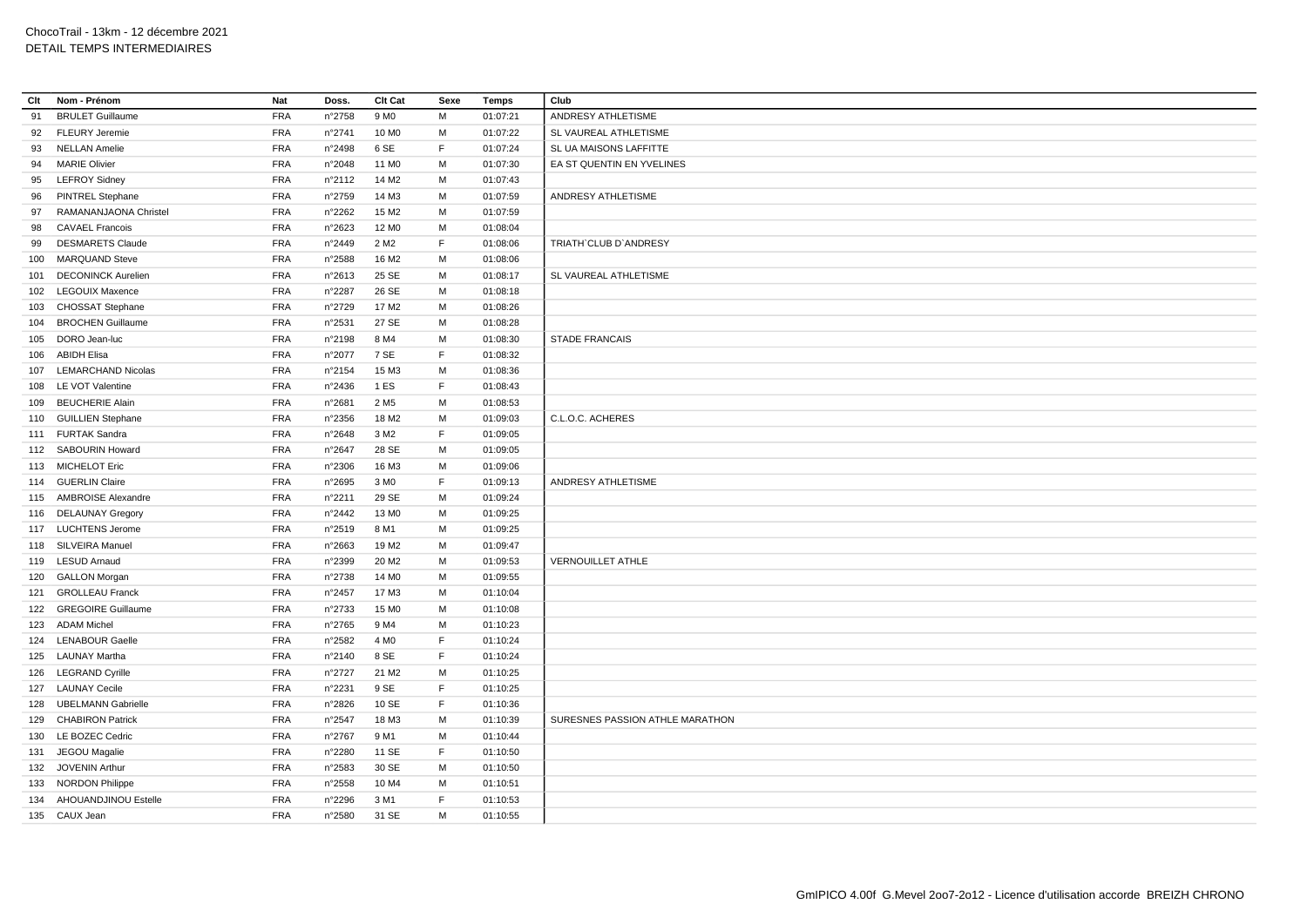| Clt | Nom - Prénom              | <b>Nat</b> | Doss.           | <b>Clt Cat</b>    | Sexe | <b>Temps</b> | Club                            |
|-----|---------------------------|------------|-----------------|-------------------|------|--------------|---------------------------------|
| 91  | <b>BRULET Guillaume</b>   | <b>FRA</b> | n°2758          | 9 M <sub>0</sub>  | M    | 01:07:21     | ANDRESY ATHLETISME              |
| 92  | <b>FLEURY</b> Jeremie     | <b>FRA</b> | n°2741          | 10 M <sub>0</sub> | M    | 01:07:22     | SL VAUREAL ATHLETISME           |
| 93  | <b>NELLAN Amelie</b>      | <b>FRA</b> | n°2498          | 6 SE              | F    | 01:07:24     | SL UA MAISONS LAFFITTE          |
| 94  | <b>MARIE Olivier</b>      | <b>FRA</b> | n°2048          | 11 M <sub>0</sub> | M    | 01:07:30     | EA ST QUENTIN EN YVELINES       |
| 95  | <b>LEFROY Sidney</b>      | <b>FRA</b> | n°2112          | 14 M <sub>2</sub> | M    | 01:07:43     |                                 |
| 96  | <b>PINTREL Stephane</b>   | <b>FRA</b> | n°2759          | 14 M3             | м    | 01:07:59     | ANDRESY ATHLETISME              |
| 97  | RAMANANJAONA Christel     | <b>FRA</b> | n°2262          | 15 M <sub>2</sub> | M    | 01:07:59     |                                 |
| 98  | <b>CAVAEL Francois</b>    | <b>FRA</b> | n°2623          | 12 M <sub>0</sub> | м    | 01:08:04     |                                 |
| 99  | <b>DESMARETS Claude</b>   | <b>FRA</b> | n°2449          | 2 M <sub>2</sub>  | F.   | 01:08:06     | TRIATH'CLUB D'ANDRESY           |
|     | 100 MARQUAND Steve        | <b>FRA</b> | n°2588          | 16 M <sub>2</sub> | М    | 01:08:06     |                                 |
| 101 | <b>DECONINCK Aurelien</b> | <b>FRA</b> | $n^{\circ}2613$ | 25 SE             | M    | 01:08:17     | SL VAUREAL ATHLETISME           |
|     | 102 LEGOUIX Maxence       | <b>FRA</b> | n°2287          | 26 SE             | М    | 01:08:18     |                                 |
| 103 | <b>CHOSSAT Stephane</b>   | <b>FRA</b> | n°2729          | 17 M <sub>2</sub> | M    | 01:08:26     |                                 |
|     | 104 BROCHEN Guillaume     | <b>FRA</b> | n°2531          | 27 SE             | М    | 01:08:28     |                                 |
| 105 | DORO Jean-luc             | <b>FRA</b> | n°2198          | 8 M4              | м    | 01:08:30     | <b>STADE FRANCAIS</b>           |
| 106 | ABIDH Elisa               | <b>FRA</b> | n°2077          | 7 SE              | F.   | 01:08:32     |                                 |
|     | 107 LEMARCHAND Nicolas    | <b>FRA</b> | n°2154          | 15 M3             | м    | 01:08:36     |                                 |
| 108 | LE VOT Valentine          | <b>FRA</b> | n°2436          | 1 ES              | F.   | 01:08:43     |                                 |
|     | 109 BEUCHERIE Alain       | <b>FRA</b> | n°2681          | 2 M <sub>5</sub>  | М    | 01:08:53     |                                 |
|     | 110 GUILLIEN Stephane     | <b>FRA</b> | n°2356          | 18 M <sub>2</sub> | M    | 01:09:03     | C.L.O.C. ACHERES                |
|     | 111 FURTAK Sandra         | <b>FRA</b> | $n^{\circ}2648$ | 3 M2              | E    | 01:09:05     |                                 |
|     | 112 SABOURIN Howard       | <b>FRA</b> | n°2647          | 28 SE             | M    | 01:09:05     |                                 |
|     | 113 MICHELOT Eric         | <b>FRA</b> | n°2306          | 16 M3             | м    | 01:09:06     |                                 |
|     | 114 GUERLIN Claire        | <b>FRA</b> | n°2695          | 3 M <sub>0</sub>  | F    | 01:09:13     | ANDRESY ATHLETISME              |
|     | 115 AMBROISE Alexandre    | <b>FRA</b> | n°2211          | 29 SE             | M    | 01:09:24     |                                 |
|     | 116 DELAUNAY Gregory      | <b>FRA</b> | n°2442          | 13 M <sub>0</sub> | M    | 01:09:25     |                                 |
|     | 117 LUCHTENS Jerome       | <b>FRA</b> | n°2519          | 8 M1              | M    | 01:09:25     |                                 |
|     | 118 SILVEIRA Manuel       | <b>FRA</b> | n°2663          | 19 M <sub>2</sub> | м    | 01:09:47     |                                 |
|     | 119 LESUD Arnaud          | <b>FRA</b> | n°2399          | 20 M <sub>2</sub> | M    | 01:09:53     | <b>VERNOUILLET ATHLE</b>        |
|     | 120 GALLON Morgan         | <b>FRA</b> | n°2738          | 14 M <sub>0</sub> | М    | 01:09:55     |                                 |
|     | 121 GROLLEAU Franck       | <b>FRA</b> | n°2457          | 17 M3             | M    | 01:10:04     |                                 |
|     | 122 GREGOIRE Guillaume    | <b>FRA</b> | n°2733          | 15 M <sub>0</sub> | м    | 01:10:08     |                                 |
|     | 123 ADAM Michel           | <b>FRA</b> | n°2765          | 9 M4              | M    | 01:10:23     |                                 |
|     | 124 LENABOUR Gaelle       | <b>FRA</b> | n°2582          | 4 M <sub>0</sub>  | F    | 01:10:24     |                                 |
|     | 125 LAUNAY Martha         | <b>FRA</b> | n°2140          | 8 SE              | F.   | 01:10:24     |                                 |
|     | 126 LEGRAND Cyrille       | <b>FRA</b> | n°2727          | 21 M <sub>2</sub> | м    | 01:10:25     |                                 |
|     | 127 LAUNAY Cecile         | <b>FRA</b> | n°2231          | 9 SE              | E    | 01:10:25     |                                 |
| 128 | <b>UBELMANN Gabrielle</b> | <b>FRA</b> | n°2826          | 10 SE             | F    | 01:10:36     |                                 |
|     | 129 CHABIRON Patrick      | <b>FRA</b> | n°2547          | 18 M3             | м    | 01:10:39     | SURESNES PASSION ATHLE MARATHON |
|     | 130 LE BOZEC Cedric       | <b>FRA</b> | n°2767          | 9 M1              | M    | 01:10:44     |                                 |
|     | 131 JEGOU Magalie         | <b>FRA</b> | n°2280          | 11 SE             | F.   | 01:10:50     |                                 |
| 132 | JOVENIN Arthur            | <b>FRA</b> | n°2583          | 30 SE             | M    | 01:10:50     |                                 |
|     | 133 NORDON Philippe       | <b>FRA</b> | $n^{\circ}2558$ | 10 M4             | M    | 01:10:51     |                                 |
| 134 | AHOUANDJINOU Estelle      | <b>FRA</b> | n°2296          | 3 M1              | E    | 01:10:53     |                                 |
|     | 135 CAUX Jean             | <b>FRA</b> | n°2580          | 31 SE             | M    | 01:10:55     |                                 |
|     |                           |            |                 |                   |      |              |                                 |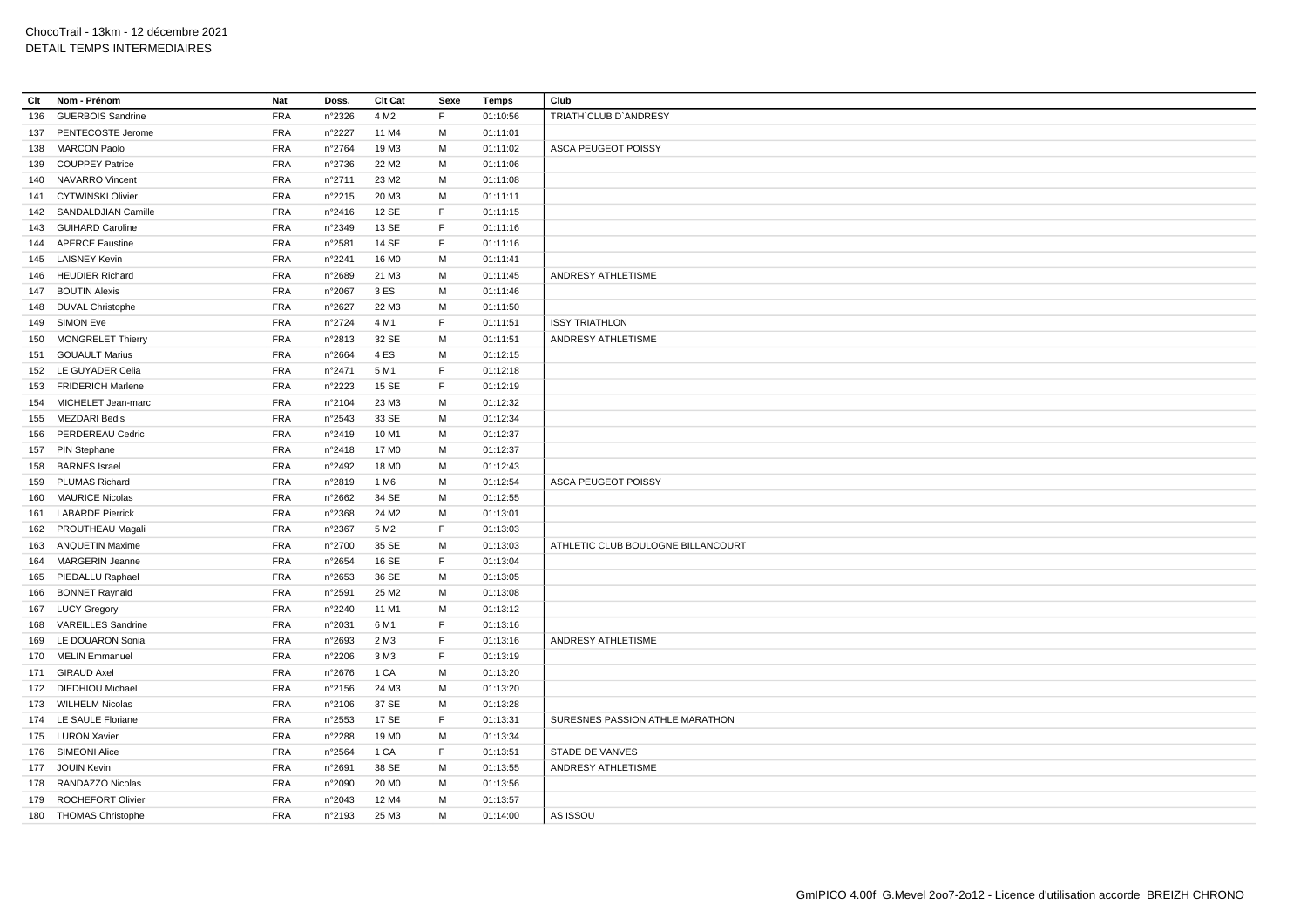| Clt | Nom - Prénom             | Nat        | Doss.           | Clt Cat           | Sexe        | Temps    | Club                               |
|-----|--------------------------|------------|-----------------|-------------------|-------------|----------|------------------------------------|
| 136 | <b>GUERBOIS Sandrine</b> | <b>FRA</b> | n°2326          | 4 M <sub>2</sub>  | F           | 01:10:56 | TRIATH'CLUB D'ANDRESY              |
|     | 137 PENTECOSTE Jerome    | <b>FRA</b> | n°2227          | 11 M4             | M           | 01:11:01 |                                    |
| 138 | <b>MARCON Paolo</b>      | <b>FRA</b> | n°2764          | 19 M3             | M           | 01:11:02 | ASCA PEUGEOT POISSY                |
| 139 | <b>COUPPEY Patrice</b>   | <b>FRA</b> | n°2736          | 22 M <sub>2</sub> | M           | 01:11:06 |                                    |
|     | 140 NAVARRO Vincent      | <b>FRA</b> | n°2711          | 23 M <sub>2</sub> | M           | 01:11:08 |                                    |
| 141 | <b>CYTWINSKI Olivier</b> | <b>FRA</b> | n°2215          | 20 M3             | м           | 01:11:11 |                                    |
|     | 142 SANDALDJIAN Camille  | <b>FRA</b> | n°2416          | 12 SE             | F           | 01:11:15 |                                    |
|     | 143 GUIHARD Caroline     | <b>FRA</b> | n°2349          | 13 SE             | F           | 01:11:16 |                                    |
|     | 144 APERCE Faustine      | <b>FRA</b> | n°2581          | 14 SE             | F.          | 01:11:16 |                                    |
|     | 145 LAISNEY Kevin        | <b>FRA</b> | n°2241          | 16 M <sub>0</sub> | M           | 01:11:41 |                                    |
| 146 | <b>HEUDIER Richard</b>   | <b>FRA</b> | n°2689          | 21 M3             | M           | 01:11:45 | ANDRESY ATHLETISME                 |
| 147 | <b>BOUTIN Alexis</b>     | <b>FRA</b> | n°2067          | 3 ES              | M           | 01:11:46 |                                    |
| 148 | <b>DUVAL Christophe</b>  | <b>FRA</b> | n°2627          | 22 M3             | м           | 01:11:50 |                                    |
| 149 | <b>SIMON Eve</b>         | <b>FRA</b> | n°2724          | 4 M1              | F           | 01:11:51 | <b>ISSY TRIATHLON</b>              |
| 150 | <b>MONGRELET Thierry</b> | <b>FRA</b> | n°2813          | 32 SE             | M           | 01:11:51 | ANDRESY ATHLETISME                 |
| 151 | <b>GOUAULT Marius</b>    | <b>FRA</b> | n°2664          | 4 ES              | M           | 01:12:15 |                                    |
|     | 152 LE GUYADER Celia     | <b>FRA</b> | n°2471          | 5 M1              | F           | 01:12:18 |                                    |
|     | 153 FRIDERICH Marlene    | <b>FRA</b> | n°2223          | 15 SE             | F           | 01:12:19 |                                    |
|     | 154 MICHELET Jean-marc   | <b>FRA</b> | n°2104          | 23 M3             | м           | 01:12:32 |                                    |
| 155 | <b>MEZDARI Bedis</b>     | <b>FRA</b> | n°2543          | 33 SE             | M           | 01:12:34 |                                    |
| 156 | PERDEREAU Cedric         | <b>FRA</b> | n°2419          | 10 M1             | M           | 01:12:37 |                                    |
|     | 157 PIN Stephane         | <b>FRA</b> | n°2418          | 17 M <sub>0</sub> | M           | 01:12:37 |                                    |
| 158 | <b>BARNES</b> Israel     | <b>FRA</b> | n°2492          | 18 MO             | M           | 01:12:43 |                                    |
| 159 | PLUMAS Richard           | <b>FRA</b> | n°2819          | 1 M <sub>6</sub>  | M           | 01:12:54 | ASCA PEUGEOT POISSY                |
|     | 160 MAURICE Nicolas      | <b>FRA</b> | n°2662          | 34 SE             | M           | 01:12:55 |                                    |
| 161 | <b>LABARDE Pierrick</b>  | <b>FRA</b> | n°2368          | 24 M2             | М           | 01:13:01 |                                    |
|     | 162 PROUTHEAU Magali     | <b>FRA</b> | n°2367          | 5 M <sub>2</sub>  | F           | 01:13:03 |                                    |
|     | 163 ANQUETIN Maxime      | <b>FRA</b> | n°2700          | 35 SE             | M           | 01:13:03 | ATHLETIC CLUB BOULOGNE BILLANCOURT |
| 164 | <b>MARGERIN Jeanne</b>   | <b>FRA</b> | n°2654          | 16 SE             | $\mathsf F$ | 01:13:04 |                                    |
|     | 165 PIEDALLU Raphael     | <b>FRA</b> | $n^{\circ}2653$ | 36 SE             | M           | 01:13:05 |                                    |
| 166 | <b>BONNET Raynald</b>    | <b>FRA</b> | n°2591          | 25 M2             | M           | 01:13:08 |                                    |
|     | 167 LUCY Gregory         | <b>FRA</b> | n°2240          | 11 M1             | M           | 01:13:12 |                                    |
|     | 168 VAREILLES Sandrine   | <b>FRA</b> | n°2031          | 6 M1              | $\mathsf F$ | 01:13:16 |                                    |
| 169 | LE DOUARON Sonia         | <b>FRA</b> | n°2693          | 2 M3              | F.          | 01:13:16 | ANDRESY ATHLETISME                 |
|     | 170 MELIN Emmanuel       | <b>FRA</b> | n°2206          | 3 M3              | F           | 01:13:19 |                                    |
|     | 171 GIRAUD Axel          | <b>FRA</b> | n°2676          | 1 CA              | M           | 01:13:20 |                                    |
|     | 172 DIEDHIOU Michael     | <b>FRA</b> | n°2156          | 24 M3             | M           | 01:13:20 |                                    |
|     | 173 WILHELM Nicolas      | <b>FRA</b> | n°2106          | 37 SE             | M           | 01:13:28 |                                    |
|     | 174 LE SAULE Floriane    | <b>FRA</b> | n°2553          | 17 SE             | F           | 01:13:31 | SURESNES PASSION ATHLE MARATHON    |
|     | 175 LURON Xavier         | <b>FRA</b> | n°2288          | 19 M <sub>0</sub> | М           | 01:13:34 |                                    |
|     | 176 SIMEONI Alice        | <b>FRA</b> | n°2564          | 1 CA              | F.          | 01:13:51 | STADE DE VANVES                    |
|     | 177 JOUIN Kevin          | <b>FRA</b> | n°2691          | 38 SE             | М           | 01:13:55 | ANDRESY ATHLETISME                 |
| 178 | RANDAZZO Nicolas         | <b>FRA</b> | n°2090          | 20 M <sub>0</sub> | м           | 01:13:56 |                                    |
|     | 179 ROCHEFORT Olivier    | <b>FRA</b> | n°2043          | 12 M4             | M           | 01:13:57 |                                    |
|     | 180 THOMAS Christophe    | <b>FRA</b> | n°2193          | 25 M3             | M           | 01:14:00 | AS ISSOU                           |
|     |                          |            |                 |                   |             |          |                                    |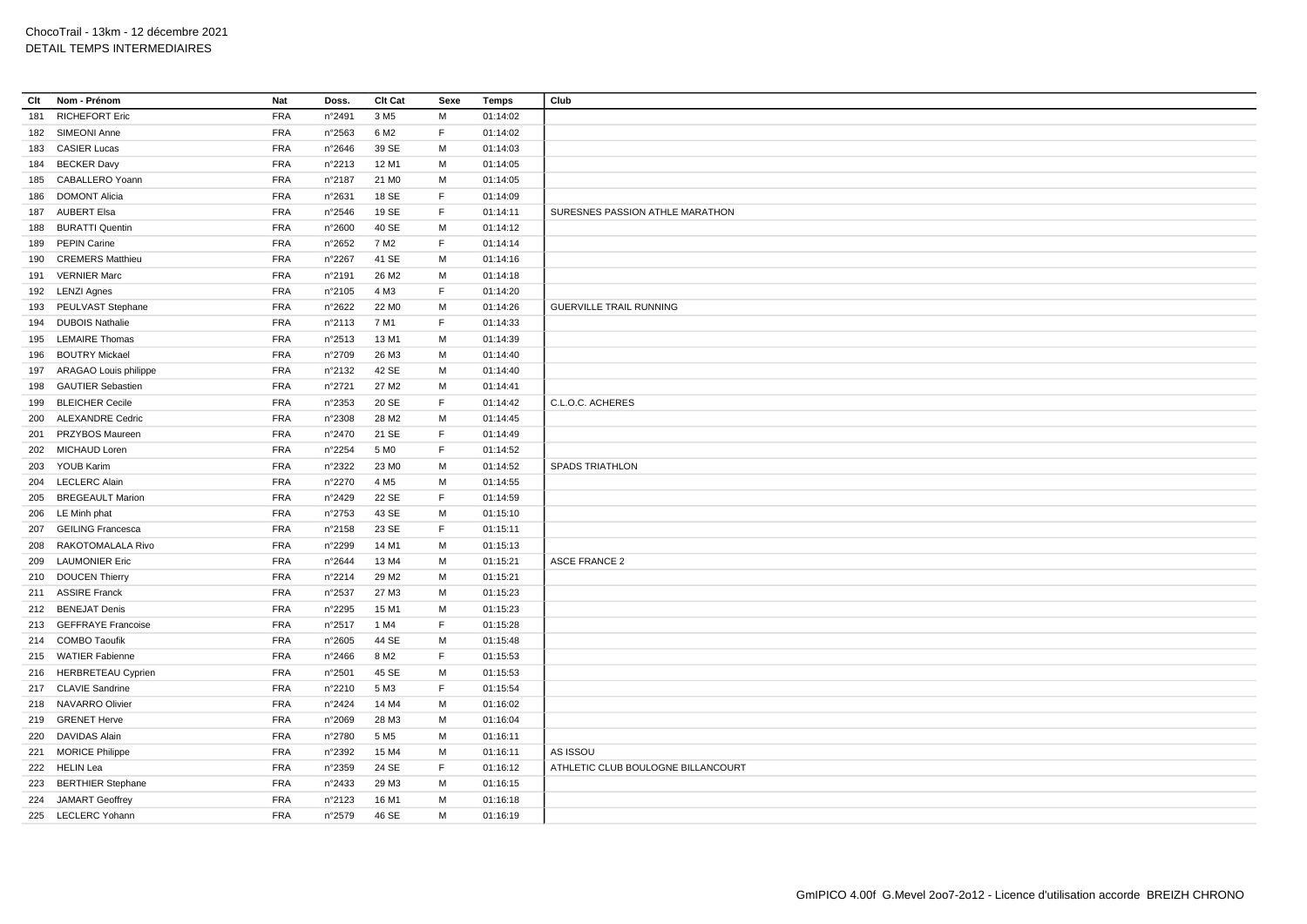| Clt | Nom - Prénom             | Nat        | Doss.            | Clt Cat           | Sexe        | <b>Temps</b> | Club                               |
|-----|--------------------------|------------|------------------|-------------------|-------------|--------------|------------------------------------|
| 181 | <b>RICHEFORT Eric</b>    | FRA        | n°2491           | 3 M <sub>5</sub>  | M           | 01:14:02     |                                    |
|     | 182 SIMEONI Anne         | <b>FRA</b> | n°2563           | 6 M <sub>2</sub>  | F           | 01:14:02     |                                    |
|     | 183 CASIER Lucas         | <b>FRA</b> | n°2646           | 39 SE             | M           | 01:14:03     |                                    |
| 184 | <b>BECKER Davy</b>       | <b>FRA</b> | n°2213           | 12 M1             | M           | 01:14:05     |                                    |
|     | 185 CABALLERO Yoann      | <b>FRA</b> | n°2187           | 21 M <sub>0</sub> | M           | 01:14:05     |                                    |
| 186 | <b>DOMONT Alicia</b>     | <b>FRA</b> | n°2631           | 18 SE             | $\mathsf F$ | 01:14:09     |                                    |
|     | 187 AUBERT Elsa          | <b>FRA</b> | $n^{\circ}2546$  | 19 SE             | F           | 01:14:11     | SURESNES PASSION ATHLE MARATHON    |
|     | 188 BURATTI Quentin      | <b>FRA</b> | n°2600           | 40 SE             | M           | 01:14:12     |                                    |
|     | 189 PEPIN Carine         | <b>FRA</b> | n°2652           | 7 M <sub>2</sub>  | F           | 01:14:14     |                                    |
| 190 | <b>CREMERS Matthieu</b>  | <b>FRA</b> | n°2267           | 41 SE             | M           | 01:14:16     |                                    |
| 191 | <b>VERNIER Marc</b>      | <b>FRA</b> | n°2191           | 26 M <sub>2</sub> | M           | 01:14:18     |                                    |
|     | 192 LENZI Agnes          | <b>FRA</b> | n°2105           | 4 M3              | F           | 01:14:20     |                                    |
|     | 193 PEULVAST Stephane    | <b>FRA</b> | n°2622           | 22 M <sub>0</sub> | M           | 01:14:26     | <b>GUERVILLE TRAIL RUNNING</b>     |
|     | 194 DUBOIS Nathalie      | <b>FRA</b> | n°2113           | 7 M1              | F           | 01:14:33     |                                    |
|     | 195 LEMAIRE Thomas       | <b>FRA</b> | $n^{\circ}2513$  | 13 M1             | M           | 01:14:39     |                                    |
| 196 | <b>BOUTRY Mickael</b>    | <b>FRA</b> | n°2709           | 26 M3             | M           | 01:14:40     |                                    |
| 197 | ARAGAO Louis philippe    | <b>FRA</b> | n°2132           | 42 SE             | M           | 01:14:40     |                                    |
|     | 198 GAUTIER Sebastien    | <b>FRA</b> | n°2721           | 27 M2             | M           | 01:14:41     |                                    |
| 199 | <b>BLEICHER Cecile</b>   | <b>FRA</b> | n°2353           | 20 SE             | F.          | 01:14:42     | C.L.O.C. ACHERES                   |
| 200 | <b>ALEXANDRE Cedric</b>  | FRA        | n°2308           | 28 M <sub>2</sub> | M           | 01:14:45     |                                    |
| 201 | PRZYBOS Maureen          | <b>FRA</b> | n°2470           | 21 SE             | F           | 01:14:49     |                                    |
| 202 | <b>MICHAUD Loren</b>     | <b>FRA</b> | n°2254           | 5 M <sub>0</sub>  | F           | 01:14:52     |                                    |
|     | 203 YOUB Karim           | <b>FRA</b> | n°2322           | 23 MO             | M           | 01:14:52     | <b>SPADS TRIATHLON</b>             |
|     | 204 LECLERC Alain        | <b>FRA</b> | n°2270           | 4 M <sub>5</sub>  | M           | 01:14:55     |                                    |
| 205 | <b>BREGEAULT Marion</b>  | <b>FRA</b> | n°2429           | 22 SE             | F           | 01:14:59     |                                    |
|     | 206 LE Minh phat         | <b>FRA</b> | n°2753           | 43 SE             | M           | 01:15:10     |                                    |
|     | 207 GEILING Francesca    | FRA        | n°2158           | 23 SE             | $\mathsf F$ | 01:15:11     |                                    |
| 208 | RAKOTOMALALA Rivo        | <b>FRA</b> | n°2299           | 14 M1             | м           | 01:15:13     |                                    |
| 209 | <b>LAUMONIER Eric</b>    | <b>FRA</b> | n°2644           | 13 M4             | M           | 01:15:21     | <b>ASCE FRANCE 2</b>               |
|     | 210 DOUCEN Thierry       | <b>FRA</b> | n°2214           | 29 M <sub>2</sub> | M           | 01:15:21     |                                    |
|     | 211 ASSIRE Franck        | <b>FRA</b> | n°2537           | 27 M3             | M           | 01:15:23     |                                    |
| 212 | <b>BENEJAT Denis</b>     | <b>FRA</b> | n°2295           | 15 M1             | М           | 01:15:23     |                                    |
|     | 213 GEFFRAYE Francoise   | <b>FRA</b> | n°2517           | 1 M4              | F           | 01:15:28     |                                    |
|     | 214 COMBO Taoufik        | <b>FRA</b> | n°2605           | 44 SE             | M           | 01:15:48     |                                    |
| 215 | <b>WATIER Fabienne</b>   | <b>FRA</b> | n°2466           | 8 M <sub>2</sub>  | F           | 01:15:53     |                                    |
|     | 216 HERBRETEAU Cyprien   | <b>FRA</b> | n°2501           | 45 SE             | M           | 01:15:53     |                                    |
|     | 217 CLAVIE Sandrine      | <b>FRA</b> | n°2210           | 5 M3              | $\mathsf F$ | 01:15:54     |                                    |
|     | 218 NAVARRO Olivier      | <b>FRA</b> | n°2424           | 14 M4             | М           | 01:16:02     |                                    |
| 219 | <b>GRENET Herve</b>      | <b>FRA</b> | n°2069           | 28 M3             | M           | 01:16:04     |                                    |
| 220 | <b>DAVIDAS Alain</b>     | <b>FRA</b> | n°2780           | 5 M <sub>5</sub>  | М           | 01:16:11     |                                    |
|     | 221 MORICE Philippe      | <b>FRA</b> | n°2392           | 15 M4             | M           | 01:16:11     | AS ISSOU                           |
|     | 222 HELIN Lea            | <b>FRA</b> | n°2359           | 24 SE             | F.          | 01:16:12     | ATHLETIC CLUB BOULOGNE BILLANCOURT |
| 223 | <b>BERTHIER Stephane</b> | <b>FRA</b> | $n^{\circ}$ 2433 | 29 M3             | M           | 01:16:15     |                                    |
|     | 224 JAMART Geoffrey      | <b>FRA</b> | n°2123           | 16 M1             | M           | 01:16:18     |                                    |
|     | 225 LECLERC Yohann       | <b>FRA</b> | n°2579           | 46 SE             | M           | 01:16:19     |                                    |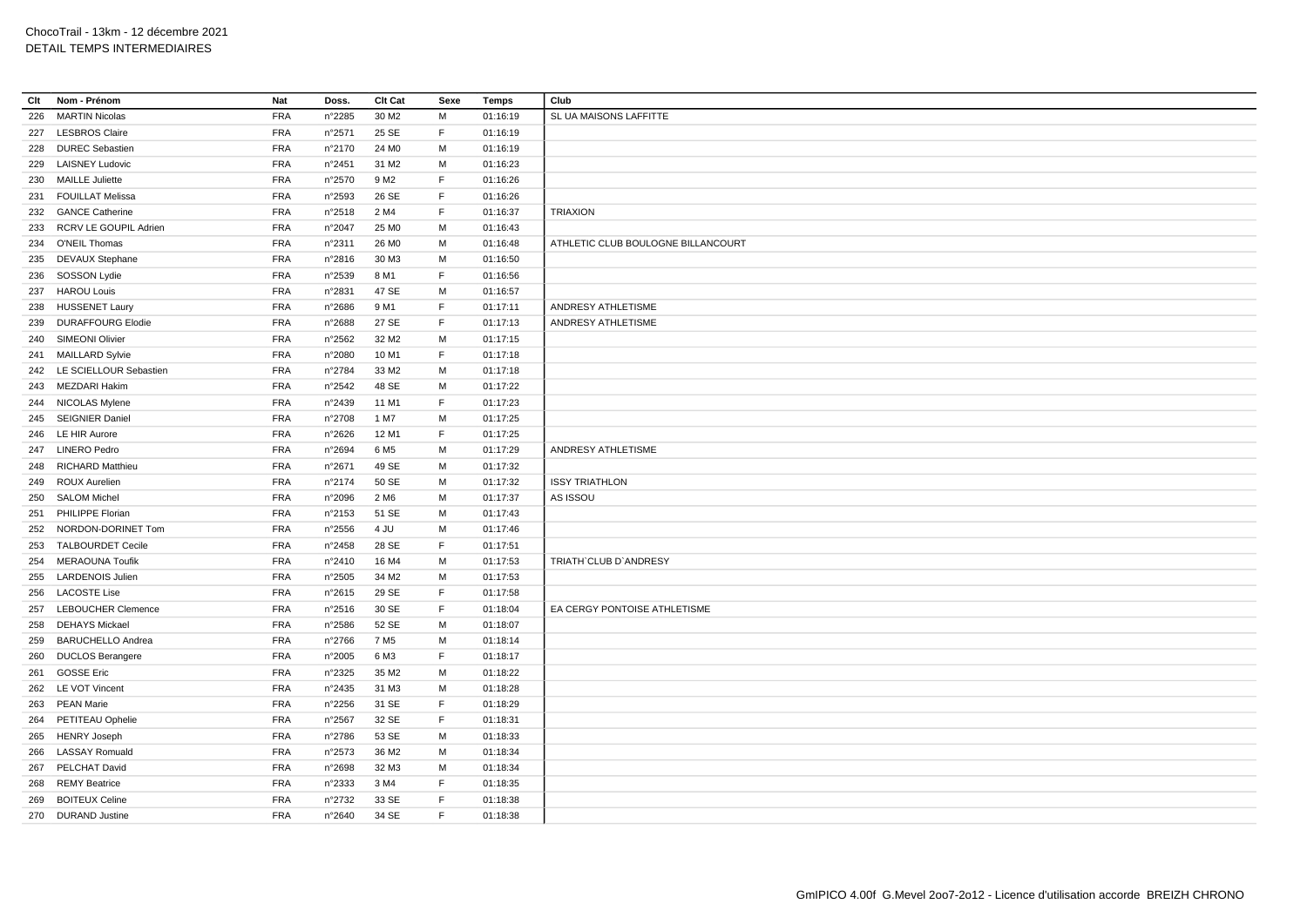| Clt | Nom - Prénom               | Nat        | Doss.  | Clt Cat           | Sexe        | Temps    | Club                               |
|-----|----------------------------|------------|--------|-------------------|-------------|----------|------------------------------------|
| 226 | <b>MARTIN Nicolas</b>      | <b>FRA</b> | n°2285 | 30 M <sub>2</sub> | м           | 01:16:19 | SL UA MAISONS LAFFITTE             |
|     | 227 LESBROS Claire         | <b>FRA</b> | n°2571 | 25 SE             | $\mathsf F$ | 01:16:19 |                                    |
|     | 228 DUREC Sebastien        | <b>FRA</b> | n°2170 | 24 M <sub>0</sub> | M           | 01:16:19 |                                    |
|     | 229 LAISNEY Ludovic        | <b>FRA</b> | n°2451 | 31 M2             | M           | 01:16:23 |                                    |
|     | 230 MAILLE Juliette        | <b>FRA</b> | n°2570 | 9 M <sub>2</sub>  | E           | 01:16:26 |                                    |
| 231 | <b>FOUILLAT Melissa</b>    | <b>FRA</b> | n°2593 | 26 SE             | F           | 01:16:26 |                                    |
|     | 232 GANCE Catherine        | <b>FRA</b> | n°2518 | 2 M4              | F           | 01:16:37 | <b>TRIAXION</b>                    |
|     | 233 RCRV LE GOUPIL Adrien  | <b>FRA</b> | n°2047 | 25 M <sub>0</sub> | M           | 01:16:43 |                                    |
|     | 234 O'NEIL Thomas          | <b>FRA</b> | n°2311 | 26 M <sub>0</sub> | М           | 01:16:48 | ATHLETIC CLUB BOULOGNE BILLANCOURT |
|     | 235 DEVAUX Stephane        | <b>FRA</b> | n°2816 | 30 M3             | M           | 01:16:50 |                                    |
| 236 | SOSSON Lydie               | <b>FRA</b> | n°2539 | 8 M1              | E           | 01:16:56 |                                    |
|     | 237 HAROU Louis            | <b>FRA</b> | n°2831 | 47 SE             | M           | 01:16:57 |                                    |
|     | 238 HUSSENET Laury         | <b>FRA</b> | n°2686 | 9 M1              | F           | 01:17:11 | ANDRESY ATHLETISME                 |
| 239 | <b>DURAFFOURG Elodie</b>   | <b>FRA</b> | n°2688 | 27 SE             | $\mathsf F$ | 01:17:13 | ANDRESY ATHLETISME                 |
|     | 240 SIMEONI Olivier        | <b>FRA</b> | n°2562 | 32 M <sub>2</sub> | M           | 01:17:15 |                                    |
| 241 | <b>MAILLARD Sylvie</b>     | <b>FRA</b> | n°2080 | 10 M1             | E           | 01:17:18 |                                    |
|     | 242 LE SCIELLOUR Sebastien | <b>FRA</b> | n°2784 | 33 M2             | M           | 01:17:18 |                                    |
|     | 243 MEZDARI Hakim          | <b>FRA</b> | n°2542 | 48 SE             | M           | 01:17:22 |                                    |
|     | 244 NICOLAS Mylene         | <b>FRA</b> | n°2439 | 11 M1             | F           | 01:17:23 |                                    |
|     | 245 SEIGNIER Daniel        | <b>FRA</b> | n°2708 | 1 M7              | M           | 01:17:25 |                                    |
|     | 246 LE HIR Aurore          | <b>FRA</b> | n°2626 | 12 M1             | E           | 01:17:25 |                                    |
|     | 247 LINERO Pedro           | <b>FRA</b> | n°2694 | 6 M <sub>5</sub>  | M           | 01:17:29 | ANDRESY ATHLETISME                 |
|     | 248 RICHARD Matthieu       | <b>FRA</b> | n°2671 | 49 SE             | M           | 01:17:32 |                                    |
|     |                            | <b>FRA</b> |        |                   | м           |          |                                    |
|     | 249 ROUX Aurelien          |            | n°2174 | 50 SE             |             | 01:17:32 | <b>ISSY TRIATHLON</b>              |
| 250 | <b>SALOM Michel</b>        | <b>FRA</b> | n°2096 | 2 M <sub>6</sub>  | M           | 01:17:37 | AS ISSOU                           |
|     | 251 PHILIPPE Florian       | <b>FRA</b> | n°2153 | 51 SE             | M           | 01:17:43 |                                    |
| 252 | NORDON-DORINET Tom         | <b>FRA</b> | n°2556 | 4 JU              | M           | 01:17:46 |                                    |
|     | 253 TALBOURDET Cecile      | <b>FRA</b> | n°2458 | 28 SE             | E           | 01:17:51 |                                    |
| 254 | <b>MERAOUNA Toufik</b>     | <b>FRA</b> | n°2410 | 16 M4             | M           | 01:17:53 | TRIATH' CLUB D'ANDRESY             |
|     | 255 LARDENOIS Julien       | <b>FRA</b> | n°2505 | 34 M2             | M           | 01:17:53 |                                    |
|     | 256 LACOSTE Lise           | <b>FRA</b> | n°2615 | 29 SE             | $\mathsf F$ | 01:17:58 |                                    |
|     | 257 LEBOUCHER Clemence     | <b>FRA</b> | n°2516 | 30 SE             | E           | 01:18:04 | EA CERGY PONTOISE ATHLETISME       |
|     | 258 DEHAYS Mickael         | <b>FRA</b> | n°2586 | 52 SE             | M           | 01:18:07 |                                    |
| 259 | <b>BARUCHELLO Andrea</b>   | <b>FRA</b> | n°2766 | 7 M <sub>5</sub>  | М           | 01:18:14 |                                    |
| 260 | <b>DUCLOS Berangere</b>    | <b>FRA</b> | n°2005 | 6 M3              | F           | 01:18:17 |                                    |
| 261 | <b>GOSSE Eric</b>          | <b>FRA</b> | n°2325 | 35 M2             | м           | 01:18:22 |                                    |
|     | 262 LE VOT Vincent         | <b>FRA</b> | n°2435 | 31 M3             | M           | 01:18:28 |                                    |
|     | 263 PEAN Marie             | <b>FRA</b> | n°2256 | 31 SE             | F           | 01:18:29 |                                    |
|     | 264 PETITEAU Ophelie       | <b>FRA</b> | n°2567 | 32 SE             | $\mathsf F$ | 01:18:31 |                                    |
|     | 265 HENRY Joseph           | <b>FRA</b> | n°2786 | 53 SE             | M           | 01:18:33 |                                    |
|     | 266 LASSAY Romuald         | <b>FRA</b> | n°2573 | 36 M2             | M           | 01:18:34 |                                    |
| 267 | PELCHAT David              | <b>FRA</b> | n°2698 | 32 M3             | м           | 01:18:34 |                                    |
|     | 268 REMY Beatrice          | <b>FRA</b> | n°2333 | 3 M4              | E           | 01:18:35 |                                    |
| 269 | <b>BOITEUX Celine</b>      | <b>FRA</b> | n°2732 | 33 SE             | F           | 01:18:38 |                                    |
|     | 270 DURAND Justine         | <b>FRA</b> | n°2640 | 34 SE             | F           | 01:18:38 |                                    |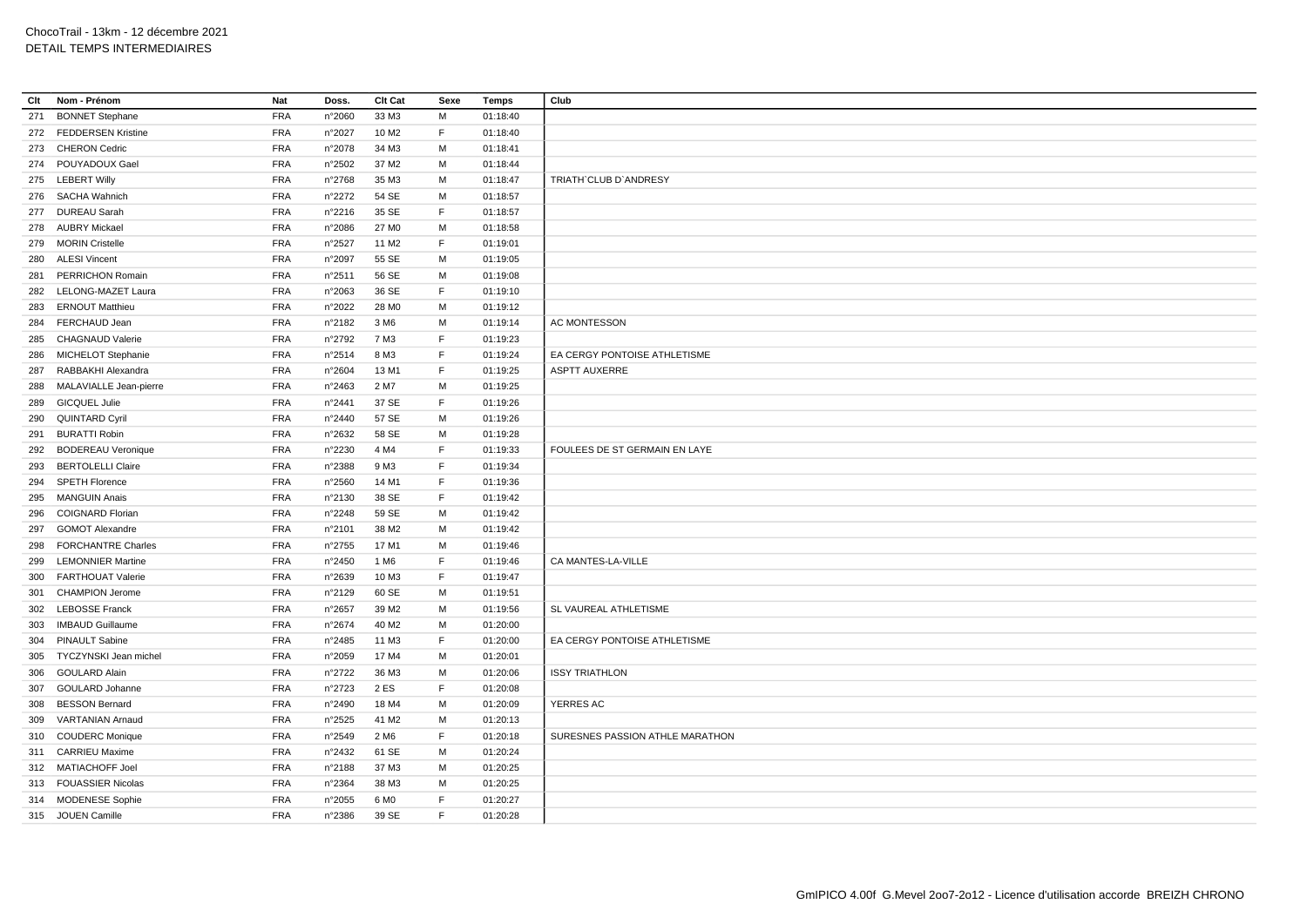| Clt | Nom - Prénom               | Nat        | Doss.           | Clt Cat           | Sexe | <b>Temps</b> | Club                            |
|-----|----------------------------|------------|-----------------|-------------------|------|--------------|---------------------------------|
| 271 | <b>BONNET Stephane</b>     | <b>FRA</b> | n°2060          | 33 M3             | M    | 01:18:40     |                                 |
|     | 272 FEDDERSEN Kristine     | <b>FRA</b> | n°2027          | 10 M <sub>2</sub> | F.   | 01:18:40     |                                 |
|     | 273 CHERON Cedric          | <b>FRA</b> | n°2078          | 34 M3             | M    | 01:18:41     |                                 |
|     | 274 POUYADOUX Gael         | <b>FRA</b> | n°2502          | 37 M2             | М    | 01:18:44     |                                 |
|     | 275 LEBERT Willy           | <b>FRA</b> | n°2768          | 35 M3             | M    | 01:18:47     | TRIATH'CLUB D'ANDRESY           |
|     | 276 SACHA Wahnich          | <b>FRA</b> | n°2272          | 54 SE             | M    | 01:18:57     |                                 |
|     | 277 DUREAU Sarah           | <b>FRA</b> | $n^{\circ}2216$ | 35 SE             | E    | 01:18:57     |                                 |
|     | 278 AUBRY Mickael          | <b>FRA</b> | n°2086          | 27 M <sub>0</sub> | М    | 01:18:58     |                                 |
|     | 279 MORIN Cristelle        | <b>FRA</b> | n°2527          | 11 M <sub>2</sub> | F.   | 01:19:01     |                                 |
| 280 | <b>ALESI Vincent</b>       | <b>FRA</b> | n°2097          | 55 SE             | M    | 01:19:05     |                                 |
| 281 | <b>PERRICHON Romain</b>    | <b>FRA</b> | n°2511          | 56 SE             | M    | 01:19:08     |                                 |
| 282 | LELONG-MAZET Laura         | <b>FRA</b> | n°2063          | 36 SE             | F.   | 01:19:10     |                                 |
| 283 | <b>ERNOUT Matthieu</b>     | <b>FRA</b> | n°2022          | 28 M <sub>0</sub> | М    | 01:19:12     |                                 |
|     | 284 FERCHAUD Jean          | <b>FRA</b> | n°2182          | 3 M <sub>6</sub>  | M    | 01:19:14     | <b>AC MONTESSON</b>             |
|     | 285 CHAGNAUD Valerie       | <b>FRA</b> | n°2792          | 7 M3              | F.   | 01:19:23     |                                 |
|     | 286 MICHELOT Stephanie     | <b>FRA</b> | n°2514          | 8 M3              | F    | 01:19:24     | EA CERGY PONTOISE ATHLETISME    |
| 287 | RABBAKHI Alexandra         | <b>FRA</b> | n°2604          | 13 M1             | F.   | 01:19:25     | <b>ASPTT AUXERRE</b>            |
|     | 288 MALAVIALLE Jean-pierre | <b>FRA</b> | n°2463          | 2 M7              | M    | 01:19:25     |                                 |
| 289 | <b>GICQUEL Julie</b>       | <b>FRA</b> | n°2441          | 37 SE             | F    | 01:19:26     |                                 |
|     | 290 QUINTARD Cyril         | <b>FRA</b> | n°2440          | 57 SE             | M    | 01:19:26     |                                 |
| 291 | <b>BURATTI Robin</b>       | <b>FRA</b> | n°2632          | 58 SE             | M    | 01:19:28     |                                 |
|     | 292 BODEREAU Veronique     | <b>FRA</b> | n°2230          | 4 M4              | F.   | 01:19:33     | FOULEES DE ST GERMAIN EN LAYE   |
| 293 | <b>BERTOLELLI Claire</b>   | <b>FRA</b> | n°2388          | 9 M3              | F    | 01:19:34     |                                 |
| 294 | <b>SPETH Florence</b>      | <b>FRA</b> | n°2560          | 14 M1             | F    | 01:19:36     |                                 |
|     | 295 MANGUIN Anais          | <b>FRA</b> | n°2130          | 38 SE             | F.   | 01:19:42     |                                 |
| 296 | <b>COIGNARD Florian</b>    | <b>FRA</b> | n°2248          | 59 SE             | М    | 01:19:42     |                                 |
| 297 | <b>GOMOT Alexandre</b>     | <b>FRA</b> | n°2101          | 38 M2             | M    | 01:19:42     |                                 |
| 298 | <b>FORCHANTRE Charles</b>  | <b>FRA</b> | n°2755          | 17 M1             | M    | 01:19:46     |                                 |
| 299 | <b>LEMONNIER Martine</b>   | <b>FRA</b> | n°2450          | 1 M <sub>6</sub>  | F.   | 01:19:46     | CA MANTES-LA-VILLE              |
| 300 | <b>FARTHOUAT Valerie</b>   | <b>FRA</b> | n°2639          | 10 M3             | F.   | 01:19:47     |                                 |
| 301 | <b>CHAMPION Jerome</b>     | <b>FRA</b> | n°2129          | 60 SE             | M    | 01:19:51     |                                 |
|     | 302 LEBOSSE Franck         | <b>FRA</b> | n°2657          | 39 M <sub>2</sub> | M    | 01:19:56     | SL VAUREAL ATHLETISME           |
|     | 303 IMBAUD Guillaume       | <b>FRA</b> | n°2674          | 40 M <sub>2</sub> | M    | 01:20:00     |                                 |
|     | 304 PINAULT Sabine         | <b>FRA</b> | n°2485          | 11 M3             | E    | 01:20:00     | EA CERGY PONTOISE ATHLETISME    |
| 305 | TYCZYNSKI Jean michel      | <b>FRA</b> | n°2059          | 17 M4             | М    | 01:20:01     |                                 |
| 306 | <b>GOULARD Alain</b>       | <b>FRA</b> | n°2722          | 36 M3             | M    | 01:20:06     | <b>ISSY TRIATHLON</b>           |
| 307 | GOULARD Johanne            | <b>FRA</b> | n°2723          | 2 ES              | F    | 01:20:08     |                                 |
| 308 | <b>BESSON Bernard</b>      | <b>FRA</b> | n°2490          | 18 M4             | М    | 01:20:09     | YERRES AC                       |
| 309 | VARTANIAN Arnaud           | <b>FRA</b> | n°2525          | 41 M <sub>2</sub> | М    | 01:20:13     |                                 |
|     | 310 COUDERC Monique        | <b>FRA</b> | n°2549          | 2 M <sub>6</sub>  | F.   | 01:20:18     | SURESNES PASSION ATHLE MARATHON |
|     | 311 CARRIEU Maxime         | <b>FRA</b> | n°2432          | 61 SE             | м    | 01:20:24     |                                 |
|     | 312 MATIACHOFF Joel        | <b>FRA</b> | n°2188          | 37 M3             | M    | 01:20:25     |                                 |
|     | 313 FOUASSIER Nicolas      | <b>FRA</b> | n°2364          | 38 M3             | M    | 01:20:25     |                                 |
|     | 314 MODENESE Sophie        | <b>FRA</b> | $n^{\circ}2055$ | 6 M <sub>0</sub>  | F    | 01:20:27     |                                 |
|     | 315 JOUEN Camille          | <b>FRA</b> | n°2386          | 39 SE             | F    | 01:20:28     |                                 |
|     |                            |            |                 |                   |      |              |                                 |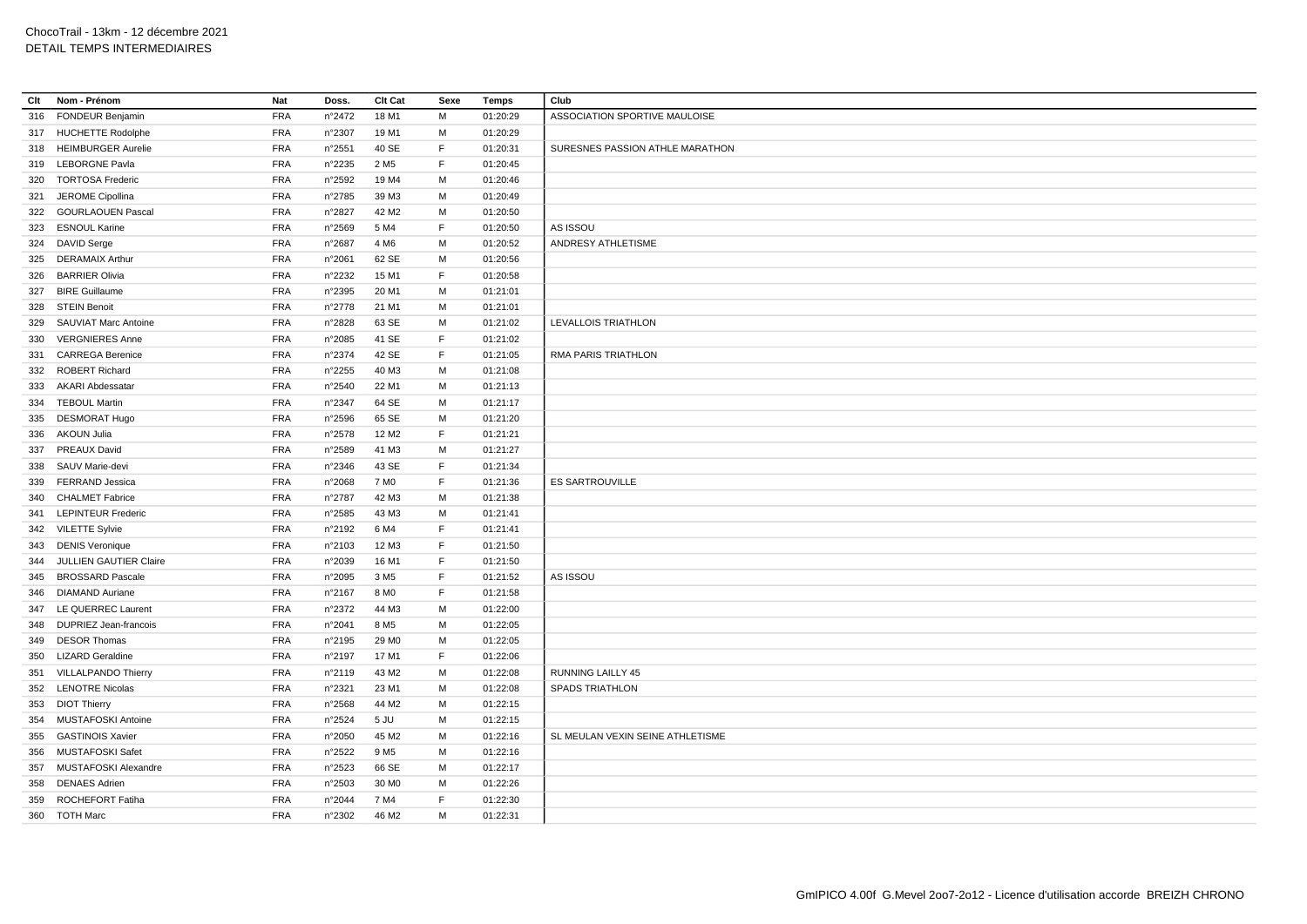| Clt | Nom - Prénom              | Nat        | Doss.           | Clt Cat           | Sexe        | <b>Temps</b> | Club                             |
|-----|---------------------------|------------|-----------------|-------------------|-------------|--------------|----------------------------------|
| 316 | <b>FONDEUR Benjamin</b>   | <b>FRA</b> | n°2472          | 18 M1             | M           | 01:20:29     | ASSOCIATION SPORTIVE MAULOISE    |
|     | 317 HUCHETTE Rodolphe     | <b>FRA</b> | n°2307          | 19 M1             | M           | 01:20:29     |                                  |
|     | 318 HEIMBURGER Aurelie    | <b>FRA</b> | n°2551          | 40 SE             | F.          | 01:20:31     | SURESNES PASSION ATHLE MARATHON  |
| 319 | <b>LEBORGNE Pavla</b>     | FRA        | n°2235          | 2 M <sub>5</sub>  | F.          | 01:20:45     |                                  |
|     | 320 TORTOSA Frederic      | <b>FRA</b> | n°2592          | 19 M4             | M           | 01:20:46     |                                  |
|     | 321 JEROME Cipollina      | <b>FRA</b> | n°2785          | 39 M3             | M           | 01:20:49     |                                  |
|     | 322 GOURLAOUEN Pascal     | <b>FRA</b> | n°2827          | 42 M <sub>2</sub> | М           | 01:20:50     |                                  |
| 323 | <b>ESNOUL Karine</b>      | <b>FRA</b> | n°2569          | 5 M4              | F.          | 01:20:50     | AS ISSOU                         |
|     | 324 DAVID Serge           | <b>FRA</b> | n°2687          | 4 M <sub>6</sub>  | М           | 01:20:52     | ANDRESY ATHLETISME               |
| 325 | <b>DERAMAIX Arthur</b>    | <b>FRA</b> | n°2061          | 62 SE             | M           | 01:20:56     |                                  |
| 326 | <b>BARRIER Olivia</b>     | <b>FRA</b> | n°2232          | 15 M1             | F           | 01:20:58     |                                  |
| 327 | <b>BIRE Guillaume</b>     | <b>FRA</b> | n°2395          | 20 M1             | M           | 01:21:01     |                                  |
| 328 | <b>STEIN Benoit</b>       | <b>FRA</b> | n°2778          | 21 M1             | M           | 01:21:01     |                                  |
| 329 | SAUVIAT Marc Antoine      | <b>FRA</b> | n°2828          | 63 SE             | M           | 01:21:02     | LEVALLOIS TRIATHLON              |
| 330 | <b>VERGNIERES Anne</b>    | <b>FRA</b> | n°2085          | 41 SE             | F           | 01:21:02     |                                  |
| 331 | <b>CARREGA Berenice</b>   | <b>FRA</b> | n°2374          | 42 SE             | $\mathsf F$ | 01:21:05     | RMA PARIS TRIATHLON              |
| 332 | <b>ROBERT Richard</b>     | <b>FRA</b> | n°2255          | 40 M3             | M           | 01:21:08     |                                  |
|     | 333 AKARI Abdessatar      | <b>FRA</b> | n°2540          | 22 M1             | M           | 01:21:13     |                                  |
|     | 334 TEBOUL Martin         | <b>FRA</b> | n°2347          | 64 SE             | M           | 01:21:17     |                                  |
|     | 335 DESMORAT Hugo         | <b>FRA</b> | n°2596          | 65 SE             | M           | 01:21:20     |                                  |
| 336 | AKOUN Julia               | <b>FRA</b> | n°2578          | 12 M <sub>2</sub> | F.          | 01:21:21     |                                  |
| 337 | <b>PREAUX David</b>       | FRA        | n°2589          | 41 M3             | M           | 01:21:27     |                                  |
| 338 | SAUV Marie-devi           | <b>FRA</b> | n°2346          | 43 SE             | F           | 01:21:34     |                                  |
| 339 | <b>FERRAND Jessica</b>    | <b>FRA</b> | n°2068          | 7 M <sub>0</sub>  | F           | 01:21:36     | <b>ES SARTROUVILLE</b>           |
|     |                           |            |                 |                   |             |              |                                  |
| 340 | <b>CHALMET Fabrice</b>    | <b>FRA</b> | n°2787          | 42 M3             | M           | 01:21:38     |                                  |
| 341 | <b>LEPINTEUR Frederic</b> | <b>FRA</b> | n°2585          | 43 M3             | M           | 01:21:41     |                                  |
|     | 342 VILETTE Sylvie        | <b>FRA</b> | n°2192          | 6 M4              | $\mathsf F$ | 01:21:41     |                                  |
|     | 343 DENIS Veronique       | <b>FRA</b> | n°2103          | 12 M3             | F           | 01:21:50     |                                  |
| 344 | JULLIEN GAUTIER Claire    | <b>FRA</b> | n°2039          | 16 M1             | F           | 01:21:50     |                                  |
| 345 | <b>BROSSARD Pascale</b>   | <b>FRA</b> | n°2095          | 3 M <sub>5</sub>  | F.          | 01:21:52     | AS ISSOU                         |
| 346 | <b>DIAMAND Auriane</b>    | <b>FRA</b> | n°2167          | 8 M <sub>0</sub>  | F           | 01:21:58     |                                  |
| 347 | LE QUERREC Laurent        | <b>FRA</b> | n°2372          | 44 M3             | м           | 01:22:00     |                                  |
| 348 | DUPRIEZ Jean-francois     | <b>FRA</b> | n°2041          | 8 M <sub>5</sub>  | M           | 01:22:05     |                                  |
| 349 | <b>DESOR Thomas</b>       | <b>FRA</b> | n°2195          | 29 MO             | M           | 01:22:05     |                                  |
| 350 | <b>LIZARD Geraldine</b>   | <b>FRA</b> | n°2197          | 17 M1             | F           | 01:22:06     |                                  |
|     | 351 VILLALPANDO Thierry   | <b>FRA</b> | n°2119          | 43 M2             | м           | 01:22:08     | <b>RUNNING LAILLY 45</b>         |
|     | 352 LENOTRE Nicolas       | <b>FRA</b> | n°2321          | 23 M1             | M           | 01:22:08     | <b>SPADS TRIATHLON</b>           |
|     | 353 DIOT Thierry          | <b>FRA</b> | n°2568          | 44 M2             | М           | 01:22:15     |                                  |
|     | 354 MUSTAFOSKI Antoine    | <b>FRA</b> | n°2524          | 5 JU              | M           | 01:22:15     |                                  |
| 355 | <b>GASTINOIS Xavier</b>   | <b>FRA</b> | n°2050          | 45 M2             | М           | 01:22:16     | SL MEULAN VEXIN SEINE ATHLETISME |
| 356 | MUSTAFOSKI Safet          | <b>FRA</b> | n°2522          | 9 M <sub>5</sub>  | м           | 01:22:16     |                                  |
| 357 | MUSTAFOSKI Alexandre      | <b>FRA</b> | $n^{\circ}2523$ | 66 SE             | M           | 01:22:17     |                                  |
| 358 | <b>DENAES Adrien</b>      | <b>FRA</b> | $n^{\circ}2503$ | 30 MO             | М           | 01:22:26     |                                  |
| 359 | <b>ROCHEFORT Fatiha</b>   | <b>FRA</b> | n°2044          | 7 M4              | F           | 01:22:30     |                                  |
|     | 360 TOTH Marc             | <b>FRA</b> | n°2302          | 46 M <sub>2</sub> | M           | 01:22:31     |                                  |
|     |                           |            |                 |                   |             |              |                                  |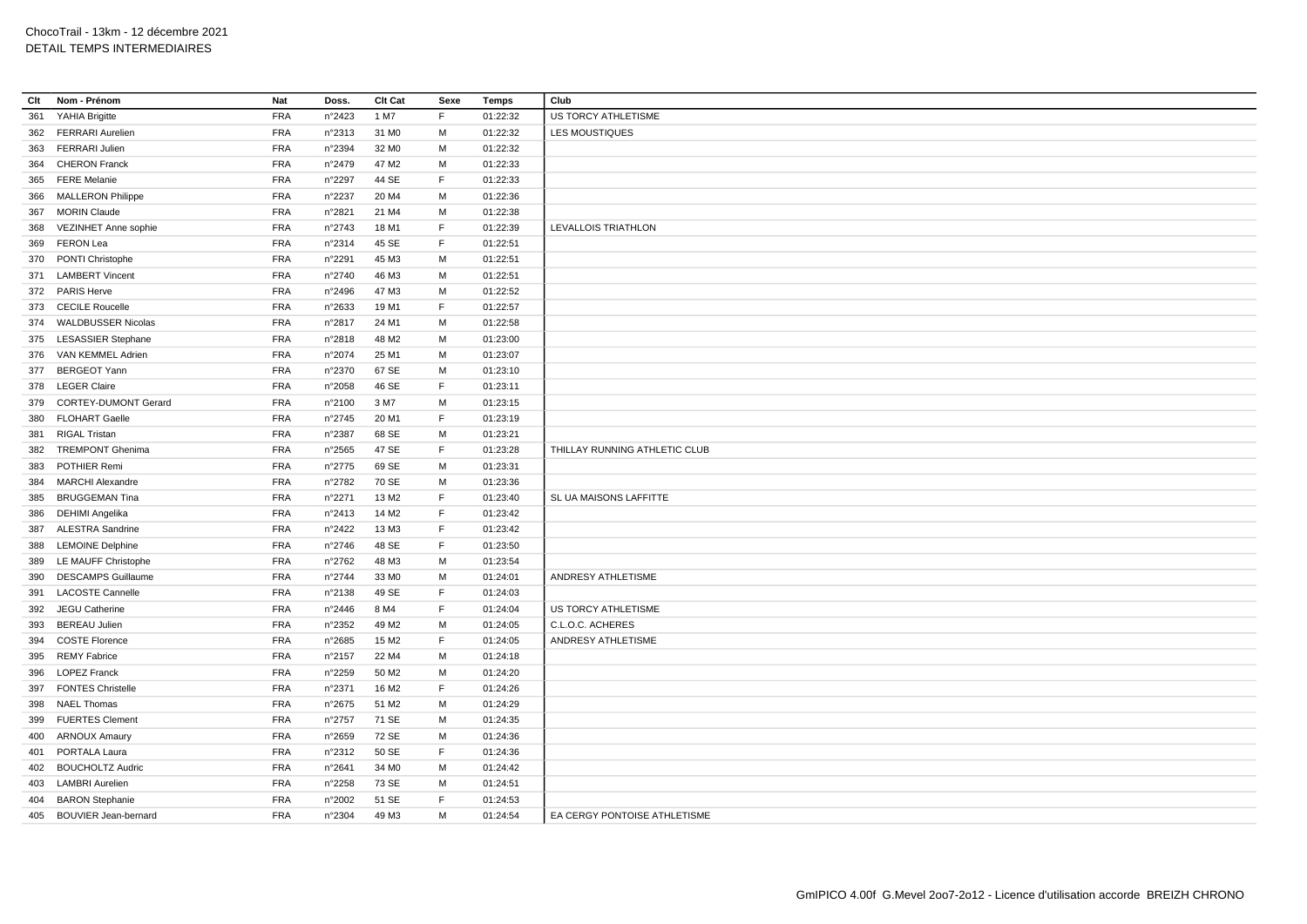| Clt | Nom - Prénom                | Nat        | Doss.           | Clt Cat           | Sexe        | <b>Temps</b> | Club                          |
|-----|-----------------------------|------------|-----------------|-------------------|-------------|--------------|-------------------------------|
| 361 | YAHIA Brigitte              | <b>FRA</b> | n°2423          | 1 M7              | F           | 01:22:32     | US TORCY ATHLETISME           |
|     | 362 FERRARI Aurelien        | <b>FRA</b> | n°2313          | 31 M <sub>0</sub> | M           | 01:22:32     | <b>LES MOUSTIQUES</b>         |
| 363 | FERRARI Julien              | <b>FRA</b> | n°2394          | 32 M <sub>0</sub> | M           | 01:22:32     |                               |
| 364 | <b>CHERON Franck</b>        | <b>FRA</b> | n°2479          | 47 M2             | M           | 01:22:33     |                               |
| 365 | <b>FERE Melanie</b>         | <b>FRA</b> | n°2297          | 44 SE             | F           | 01:22:33     |                               |
| 366 | <b>MALLERON Philippe</b>    | <b>FRA</b> | n°2237          | 20 M4             | M           | 01:22:36     |                               |
| 367 | <b>MORIN Claude</b>         | <b>FRA</b> | n°2821          | 21 M4             | M           | 01:22:38     |                               |
| 368 | VEZINHET Anne sophie        | <b>FRA</b> | n°2743          | 18 M1             | F.          | 01:22:39     | LEVALLOIS TRIATHLON           |
| 369 | <b>FERON Lea</b>            | <b>FRA</b> | n°2314          | 45 SE             | F.          | 01:22:51     |                               |
| 370 | PONTI Christophe            | <b>FRA</b> | n°2291          | 45 M3             | M           | 01:22:51     |                               |
| 371 | <b>LAMBERT Vincent</b>      | <b>FRA</b> | n°2740          | 46 M3             | M           | 01:22:51     |                               |
|     | 372 PARIS Herve             | <b>FRA</b> | n°2496          | 47 M3             | м           | 01:22:52     |                               |
|     | 373 CECILE Roucelle         | <b>FRA</b> | $n^{\circ}2633$ | 19 M1             | F           | 01:22:57     |                               |
| 374 | <b>WALDBUSSER Nicolas</b>   | <b>FRA</b> | n°2817          | 24 M1             | м           | 01:22:58     |                               |
|     | 375 LESASSIER Stephane      | <b>FRA</b> | n°2818          | 48 M2             | M           | 01:23:00     |                               |
| 376 | VAN KEMMEL Adrien           | <b>FRA</b> | n°2074          | 25 M1             | M           | 01:23:07     |                               |
| 377 | <b>BERGEOT Yann</b>         | <b>FRA</b> | n°2370          | 67 SE             | M           | 01:23:10     |                               |
|     | 378 LEGER Claire            | <b>FRA</b> | n°2058          | 46 SE             | F.          | 01:23:11     |                               |
| 379 | <b>CORTEY-DUMONT Gerard</b> | <b>FRA</b> | n°2100          | 3 M7              | M           | 01:23:15     |                               |
| 380 | <b>FLOHART Gaelle</b>       | <b>FRA</b> | n°2745          | 20 M1             | F.          | 01:23:19     |                               |
| 381 | <b>RIGAL Tristan</b>        | <b>FRA</b> | n°2387          | 68 SE             | M           | 01:23:21     |                               |
| 382 | <b>TREMPONT Ghenima</b>     | <b>FRA</b> | n°2565          | 47 SE             | F           | 01:23:28     | THILLAY RUNNING ATHLETIC CLUB |
| 383 | <b>POTHIER Remi</b>         | <b>FRA</b> | n°2775          | 69 SE             | M           | 01:23:31     |                               |
| 384 | <b>MARCHI Alexandre</b>     | <b>FRA</b> | n°2782          | 70 SE             | M           | 01:23:36     |                               |
| 385 | <b>BRUGGEMAN Tina</b>       | <b>FRA</b> | n°2271          | 13 M <sub>2</sub> | F           | 01:23:40     | SL UA MAISONS LAFFITTE        |
| 386 | DEHIMI Angelika             | <b>FRA</b> | n°2413          | 14 M <sub>2</sub> | F           | 01:23:42     |                               |
| 387 | <b>ALESTRA Sandrine</b>     | <b>FRA</b> | n°2422          | 13 M3             | F           | 01:23:42     |                               |
| 388 | <b>LEMOINE Delphine</b>     | <b>FRA</b> | n°2746          | 48 SE             | F           | 01:23:50     |                               |
| 389 | LE MAUFF Christophe         | <b>FRA</b> | n°2762          | 48 M3             | M           | 01:23:54     |                               |
| 390 | <b>DESCAMPS Guillaume</b>   | <b>FRA</b> | n°2744          | 33 MO             | м           | 01:24:01     | ANDRESY ATHLETISME            |
| 391 | <b>LACOSTE Cannelle</b>     | <b>FRA</b> | n°2138          | 49 SE             | $\mathsf F$ | 01:24:03     |                               |
| 392 | JEGU Catherine              | <b>FRA</b> | n°2446          | 8 M4              | $\mathsf F$ | 01:24:04     | US TORCY ATHLETISME           |
| 393 | <b>BEREAU Julien</b>        | <b>FRA</b> | n°2352          | 49 M <sub>2</sub> | м           | 01:24:05     | C.L.O.C. ACHERES              |
| 394 | <b>COSTE Florence</b>       | <b>FRA</b> | n°2685          | 15 M <sub>2</sub> | F           | 01:24:05     | ANDRESY ATHLETISME            |
| 395 | REMY Fabrice                | <b>FRA</b> | n°2157          | 22 M4             | M           | 01:24:18     |                               |
| 396 | <b>LOPEZ Franck</b>         | <b>FRA</b> | n°2259          | 50 M <sub>2</sub> | M           | 01:24:20     |                               |
| 397 | <b>FONTES Christelle</b>    | FRA        | n°2371          | 16 M <sub>2</sub> | F.          | 01:24:26     |                               |
| 398 | <b>NAEL Thomas</b>          | <b>FRA</b> | $n^{\circ}2675$ | 51 M2             | M           | 01:24:29     |                               |
| 399 | <b>FUERTES Clement</b>      | <b>FRA</b> | n°2757          | 71 SE             | M           | 01:24:35     |                               |
| 400 | <b>ARNOUX Amaury</b>        | <b>FRA</b> | n°2659          | 72 SE             | M           | 01:24:36     |                               |
| 401 | PORTALA Laura               | <b>FRA</b> | n°2312          | 50 SE             | F           | 01:24:36     |                               |
| 402 | <b>BOUCHOLTZ Audric</b>     | <b>FRA</b> | n°2641          | 34 M <sub>0</sub> | M           | 01:24:42     |                               |
| 403 | <b>LAMBRI</b> Aurelien      | <b>FRA</b> | n°2258          | 73 SE             | М           | 01:24:51     |                               |
|     | 404 BARON Stephanie         | <b>FRA</b> | n°2002          | 51 SE             | F           | 01:24:53     |                               |
|     | 405 BOUVIER Jean-bernard    | <b>FRA</b> | n°2304          | 49 M3             | M           | 01:24:54     | EA CERGY PONTOISE ATHLETISME  |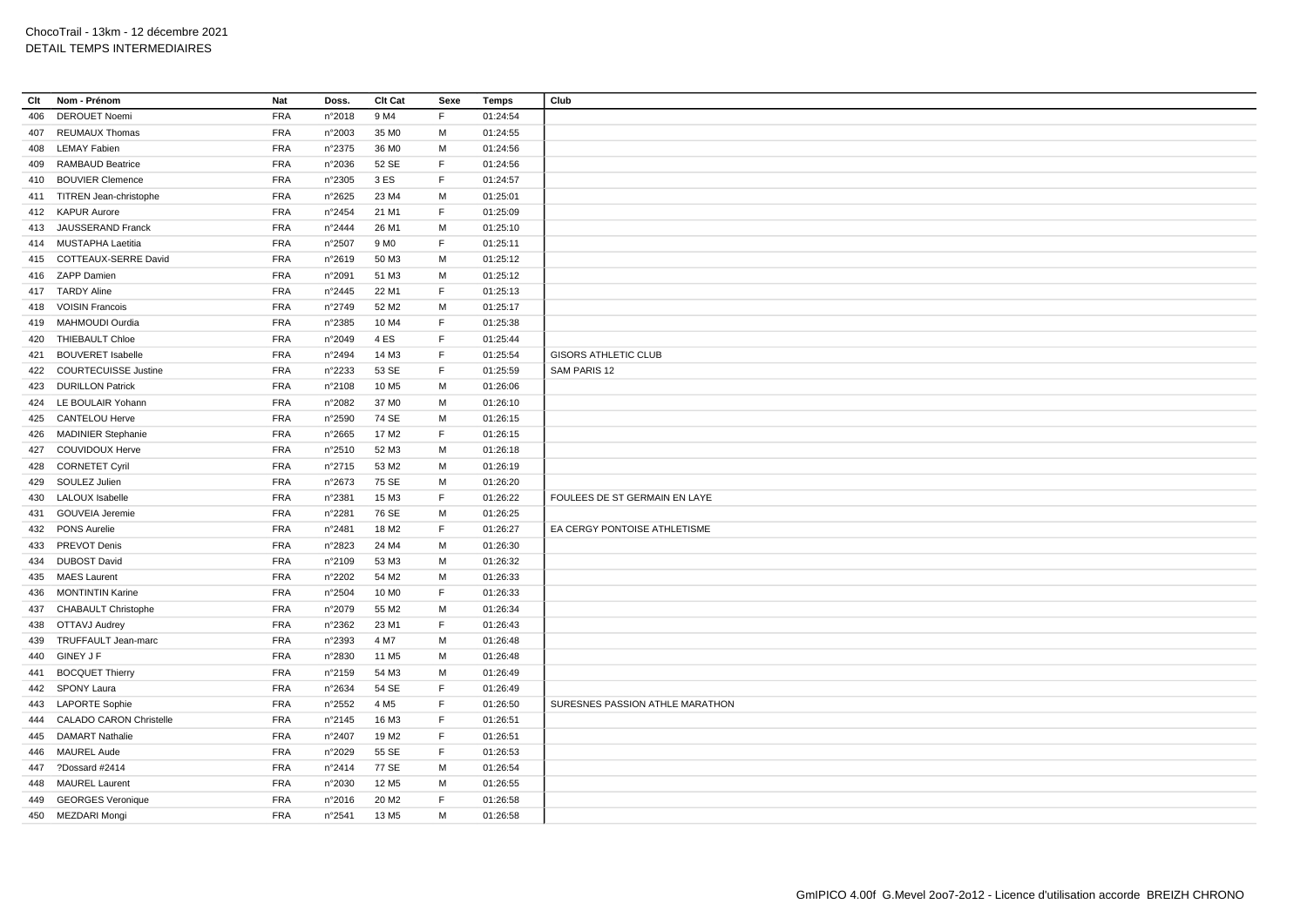| Clt | Nom - Prénom                   | Nat        | Doss.           | Clt Cat           | Sexe | Temps    | Club                            |
|-----|--------------------------------|------------|-----------------|-------------------|------|----------|---------------------------------|
| 406 | <b>DEROUET Noemi</b>           | <b>FRA</b> | n°2018          | 9 M4              | F.   | 01:24:54 |                                 |
|     | 407 REUMAUX Thomas             | <b>FRA</b> | n°2003          | 35 MO             | M    | 01:24:55 |                                 |
| 408 | <b>LEMAY Fabien</b>            | <b>FRA</b> | n°2375          | 36 MO             | M    | 01:24:56 |                                 |
| 409 | <b>RAMBAUD Beatrice</b>        | <b>FRA</b> | n°2036          | 52 SE             | F.   | 01:24:56 |                                 |
|     | 410 BOUVIER Clemence           | <b>FRA</b> | n°2305          | 3 ES              | F.   | 01:24:57 |                                 |
|     | 411 TITREN Jean-christophe     | <b>FRA</b> | n°2625          | 23 M4             | M    | 01:25:01 |                                 |
|     | 412 KAPUR Aurore               | <b>FRA</b> | n°2454          | 21 M1             | F    | 01:25:09 |                                 |
|     | 413 JAUSSERAND Franck          | <b>FRA</b> | n°2444          | 26 M1             | м    | 01:25:10 |                                 |
|     | 414 MUSTAPHA Laetitia          | <b>FRA</b> | n°2507          | 9 M <sub>0</sub>  | F    | 01:25:11 |                                 |
|     | 415 COTTEAUX-SERRE David       | <b>FRA</b> | n°2619          | 50 M3             | м    | 01:25:12 |                                 |
|     | 416 ZAPP Damien                | <b>FRA</b> | n°2091          | 51 M3             | M    | 01:25:12 |                                 |
|     | 417 TARDY Aline                | <b>FRA</b> | n°2445          | 22 M1             | F    | 01:25:13 |                                 |
|     | 418 VOISIN Francois            | <b>FRA</b> | n°2749          | 52 M <sub>2</sub> | M    | 01:25:17 |                                 |
| 419 | MAHMOUDI Ourdia                | <b>FRA</b> | n°2385          | 10 M4             | F    | 01:25:38 |                                 |
|     | 420 THIEBAULT Chloe            | <b>FRA</b> | n°2049          | 4 ES              | F    | 01:25:44 |                                 |
| 421 | <b>BOUVERET Isabelle</b>       | <b>FRA</b> | n°2494          | 14 M3             | F    | 01:25:54 | <b>GISORS ATHLETIC CLUB</b>     |
|     | 422 COURTECUISSE Justine       | <b>FRA</b> | n°2233          | 53 SE             | F    | 01:25:59 | SAM PARIS 12                    |
| 423 | <b>DURILLON Patrick</b>        | <b>FRA</b> | n°2108          | 10 M <sub>5</sub> | M    | 01:26:06 |                                 |
|     | 424 LE BOULAIR Yohann          | <b>FRA</b> | n°2082          | 37 MO             | M    | 01:26:10 |                                 |
|     | 425 CANTELOU Herve             | <b>FRA</b> | n°2590          | 74 SE             | M    | 01:26:15 |                                 |
| 426 | <b>MADINIER Stephanie</b>      | <b>FRA</b> | n°2665          | 17 M <sub>2</sub> | F.   | 01:26:15 |                                 |
|     | 427 COUVIDOUX Herve            | <b>FRA</b> | n°2510          | 52 M3             | M    | 01:26:18 |                                 |
| 428 | <b>CORNETET Cyril</b>          | <b>FRA</b> | n°2715          | 53 M2             | M    | 01:26:19 |                                 |
| 429 | SOULEZ Julien                  | <b>FRA</b> | $n^{\circ}2673$ | 75 SE             | M    | 01:26:20 |                                 |
| 430 | <b>LALOUX</b> Isabelle         | <b>FRA</b> | n°2381          | 15 M3             | F    | 01:26:22 | FOULEES DE ST GERMAIN EN LAYE   |
| 431 | <b>GOUVEIA Jeremie</b>         | <b>FRA</b> | n°2281          | 76 SE             | м    | 01:26:25 |                                 |
|     | 432 PONS Aurelie               | <b>FRA</b> | n°2481          | 18 M2             | F.   | 01:26:27 | EA CERGY PONTOISE ATHLETISME    |
| 433 | <b>PREVOT Denis</b>            | <b>FRA</b> | n°2823          | 24 M4             | м    | 01:26:30 |                                 |
|     | 434 DUBOST David               | <b>FRA</b> | n°2109          | 53 M3             | M    | 01:26:32 |                                 |
| 435 | <b>MAES Laurent</b>            | <b>FRA</b> | n°2202          | 54 M2             | M    | 01:26:33 |                                 |
| 436 | <b>MONTINTIN Karine</b>        | <b>FRA</b> | n°2504          | 10 M <sub>0</sub> | F    | 01:26:33 |                                 |
| 437 | <b>CHABAULT Christophe</b>     | FRA        | n°2079          | 55 M2             | M    | 01:26:34 |                                 |
|     | 438 OTTAVJ Audrey              | <b>FRA</b> | n°2362          | 23 M1             | F    | 01:26:43 |                                 |
| 439 | TRUFFAULT Jean-marc            | <b>FRA</b> | n°2393          | 4 M7              | M    | 01:26:48 |                                 |
| 440 | <b>GINEY J F</b>               | <b>FRA</b> | n°2830          | 11 M <sub>5</sub> | М    | 01:26:48 |                                 |
| 441 | <b>BOCQUET Thierry</b>         | <b>FRA</b> | n°2159          | 54 M3             | M    | 01:26:49 |                                 |
|     | 442 SPONY Laura                | <b>FRA</b> | n°2634          | 54 SE             | F    | 01:26:49 |                                 |
|     | 443 LAPORTE Sophie             | <b>FRA</b> | n°2552          | 4 M <sub>5</sub>  | F    | 01:26:50 | SURESNES PASSION ATHLE MARATHON |
| 444 | <b>CALADO CARON Christelle</b> | <b>FRA</b> | n°2145          | 16 M3             | F    | 01:26:51 |                                 |
| 445 | <b>DAMART Nathalie</b>         | <b>FRA</b> | n°2407          | 19 M <sub>2</sub> | F    | 01:26:51 |                                 |
| 446 | <b>MAUREL Aude</b>             | <b>FRA</b> | n°2029          | 55 SE             | F    | 01:26:53 |                                 |
|     | 447 ?Dossard #2414             | <b>FRA</b> | n°2414          | 77 SE             | M    | 01:26:54 |                                 |
| 448 | <b>MAUREL Laurent</b>          | <b>FRA</b> | n°2030          | 12 M <sub>5</sub> | M    | 01:26:55 |                                 |
| 449 | <b>GEORGES Veronique</b>       | <b>FRA</b> | n°2016          | 20 M <sub>2</sub> | F.   | 01:26:58 |                                 |
|     | 450 MEZDARI Mongi              | <b>FRA</b> | n°2541          | 13 M <sub>5</sub> | M    | 01:26:58 |                                 |
|     |                                |            |                 |                   |      |          |                                 |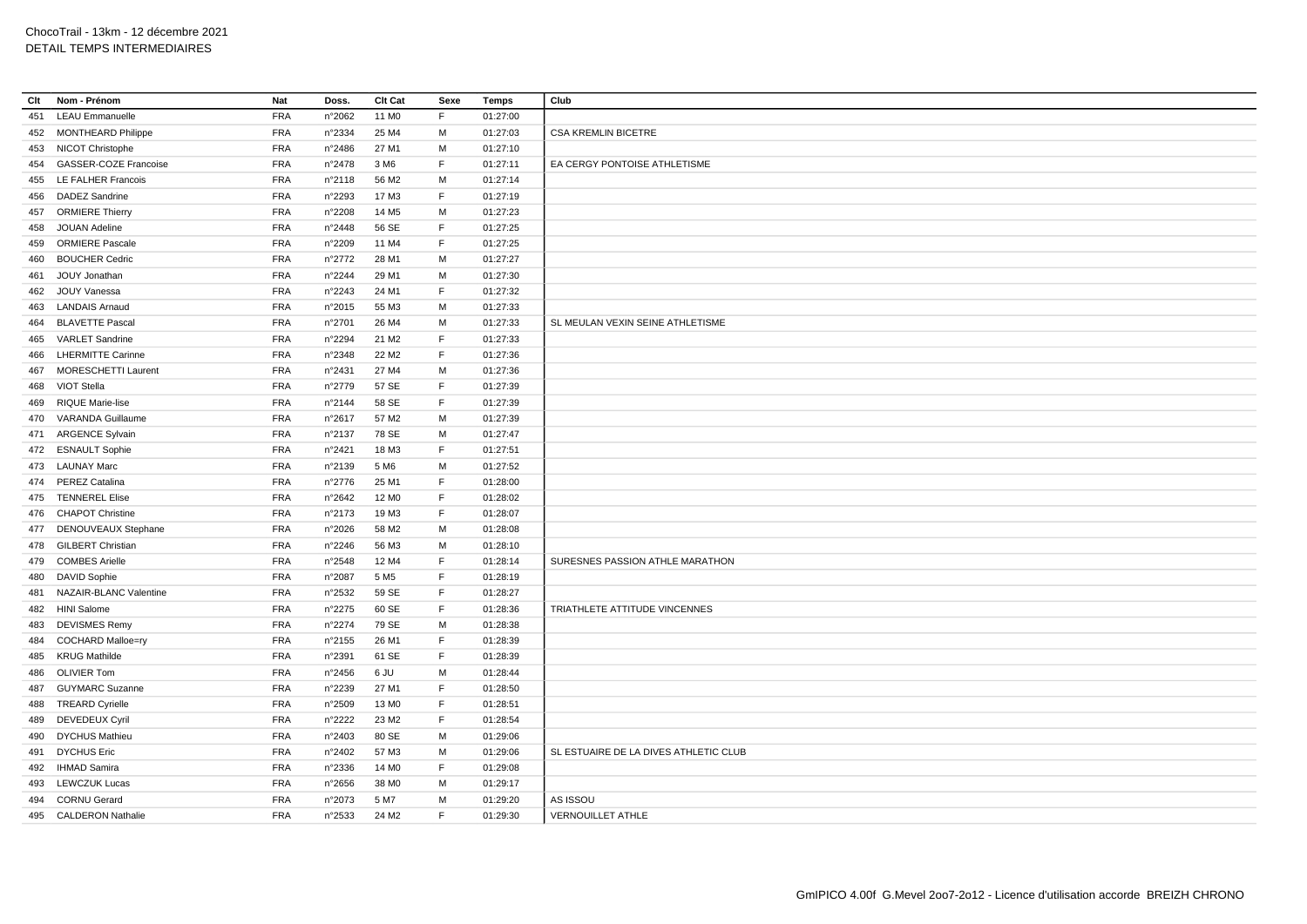| Clt | Nom - Prénom                 | Nat        | Doss.           | Clt Cat           | Sexe        | <b>Temps</b> | Club                                  |
|-----|------------------------------|------------|-----------------|-------------------|-------------|--------------|---------------------------------------|
| 451 | <b>LEAU Emmanuelle</b>       | FRA        | n°2062          | 11 M <sub>0</sub> | F           | 01:27:00     |                                       |
|     | 452 MONTHEARD Philippe       | <b>FRA</b> | n°2334          | 25 M4             | M           | 01:27:03     | <b>CSA KREMLIN BICETRE</b>            |
| 453 | NICOT Christophe             | <b>FRA</b> | n°2486          | 27 M1             | M           | 01:27:10     |                                       |
| 454 | <b>GASSER-COZE Francoise</b> | FRA        | n°2478          | 3 M <sub>6</sub>  | F           | 01:27:11     | EA CERGY PONTOISE ATHLETISME          |
| 455 | <b>LE FALHER Francois</b>    | <b>FRA</b> | n°2118          | 56 M2             | M           | 01:27:14     |                                       |
| 456 | <b>DADEZ Sandrine</b>        | <b>FRA</b> | n°2293          | 17 M3             | F.          | 01:27:19     |                                       |
|     | 457 ORMIERE Thierry          | <b>FRA</b> | n°2208          | 14 M <sub>5</sub> | M           | 01:27:23     |                                       |
| 458 | JOUAN Adeline                | <b>FRA</b> | n°2448          | 56 SE             | F.          | 01:27:25     |                                       |
| 459 | <b>ORMIERE Pascale</b>       | <b>FRA</b> | n°2209          | 11 M4             | F           | 01:27:25     |                                       |
| 460 | <b>BOUCHER Cedric</b>        | <b>FRA</b> | n°2772          | 28 M1             | M           | 01:27:27     |                                       |
| 461 | JOUY Jonathan                | <b>FRA</b> | n°2244          | 29 M1             | M           | 01:27:30     |                                       |
| 462 | JOUY Vanessa                 | <b>FRA</b> | n°2243          | 24 M1             | F           | 01:27:32     |                                       |
| 463 | <b>LANDAIS Arnaud</b>        | <b>FRA</b> | n°2015          | 55 M3             | M           | 01:27:33     |                                       |
| 464 | <b>BLAVETTE Pascal</b>       | <b>FRA</b> | n°2701          | 26 M4             | М           | 01:27:33     | SL MEULAN VEXIN SEINE ATHLETISME      |
| 465 | VARLET Sandrine              | <b>FRA</b> | n°2294          | 21 M <sub>2</sub> | F           | 01:27:33     |                                       |
| 466 | <b>LHERMITTE Carinne</b>     | <b>FRA</b> | n°2348          | 22 M <sub>2</sub> | F           | 01:27:36     |                                       |
| 467 | <b>MORESCHETTI Laurent</b>   | <b>FRA</b> | n°2431          | 27 M4             | M           | 01:27:36     |                                       |
| 468 | VIOT Stella                  | <b>FRA</b> | n°2779          | 57 SE             | F           | 01:27:39     |                                       |
| 469 | <b>RIQUE Marie-lise</b>      | <b>FRA</b> | n°2144          | 58 SE             | F.          | 01:27:39     |                                       |
| 470 | VARANDA Guillaume            | <b>FRA</b> | n°2617          | 57 M2             | M           | 01:27:39     |                                       |
| 471 | <b>ARGENCE Sylvain</b>       | <b>FRA</b> | n°2137          | 78 SE             | M           | 01:27:47     |                                       |
|     | 472 ESNAULT Sophie           | <b>FRA</b> | n°2421          | 18 M3             | F           | 01:27:51     |                                       |
|     | 473 LAUNAY Marc              | <b>FRA</b> | n°2139          | 5 M <sub>6</sub>  | M           | 01:27:52     |                                       |
|     | 474 PEREZ Catalina           | <b>FRA</b> | n°2776          | 25 M1             | $\mathsf F$ | 01:28:00     |                                       |
|     | 475 TENNEREL Elise           | <b>FRA</b> | n°2642          | 12 MO             | F           | 01:28:02     |                                       |
|     | 476 CHAPOT Christine         | <b>FRA</b> | n°2173          | 19 M3             | F           | 01:28:07     |                                       |
| 477 | <b>DENOUVEAUX Stephane</b>   | <b>FRA</b> | n°2026          | 58 M2             | M           | 01:28:08     |                                       |
| 478 | <b>GILBERT Christian</b>     | <b>FRA</b> | n°2246          | 56 M3             | M           | 01:28:10     |                                       |
| 479 | <b>COMBES Arielle</b>        | <b>FRA</b> | $n^{\circ}2548$ | 12 M4             | F.          | 01:28:14     | SURESNES PASSION ATHLE MARATHON       |
| 480 | DAVID Sophie                 | <b>FRA</b> | n°2087          | 5 M <sub>5</sub>  | F           | 01:28:19     |                                       |
| 481 | NAZAIR-BLANC Valentine       | <b>FRA</b> | n°2532          | 59 SE             | F           | 01:28:27     |                                       |
| 482 | <b>HINI Salome</b>           | <b>FRA</b> | n°2275          | 60 SE             | F           | 01:28:36     | TRIATHLETE ATTITUDE VINCENNES         |
| 483 | <b>DEVISMES Remy</b>         | <b>FRA</b> | n°2274          | 79 SE             | M           | 01:28:38     |                                       |
| 484 | COCHARD Malloe=ry            | <b>FRA</b> | n°2155          | 26 M1             | F           | 01:28:39     |                                       |
| 485 | <b>KRUG Mathilde</b>         | <b>FRA</b> | n°2391          | 61 SE             | F           | 01:28:39     |                                       |
| 486 | <b>OLIVIER Tom</b>           | <b>FRA</b> | $n^{\circ}2456$ | 6 JU              | M           | 01:28:44     |                                       |
| 487 | <b>GUYMARC Suzanne</b>       | <b>FRA</b> | n°2239          | 27 M1             | $\mathsf F$ | 01:28:50     |                                       |
| 488 | <b>TREARD Cyrielle</b>       | <b>FRA</b> | n°2509          | 13 M <sub>0</sub> | F           | 01:28:51     |                                       |
| 489 | DEVEDEUX Cyril               | <b>FRA</b> | n°2222          | 23 M2             | F.          | 01:28:54     |                                       |
| 490 | <b>DYCHUS Mathieu</b>        | <b>FRA</b> | n°2403          | 80 SE             | М           | 01:29:06     |                                       |
| 491 | <b>DYCHUS Eric</b>           | <b>FRA</b> | n°2402          | 57 M3             | M           | 01:29:06     | SL ESTUAIRE DE LA DIVES ATHLETIC CLUB |
|     | 492 IHMAD Samira             | <b>FRA</b> | n°2336          | 14 M <sub>0</sub> | F           | 01:29:08     |                                       |
| 493 | <b>LEWCZUK Lucas</b>         | <b>FRA</b> | n°2656          | 38 M <sub>0</sub> | M           | 01:29:17     |                                       |
|     | 494 CORNU Gerard             | <b>FRA</b> | n°2073          | 5 M7              | M           | 01:29:20     | AS ISSOU                              |
| 495 | <b>CALDERON Nathalie</b>     | <b>FRA</b> | n°2533          | 24 M <sub>2</sub> | F.          | 01:29:30     | <b>VERNOUILLET ATHLE</b>              |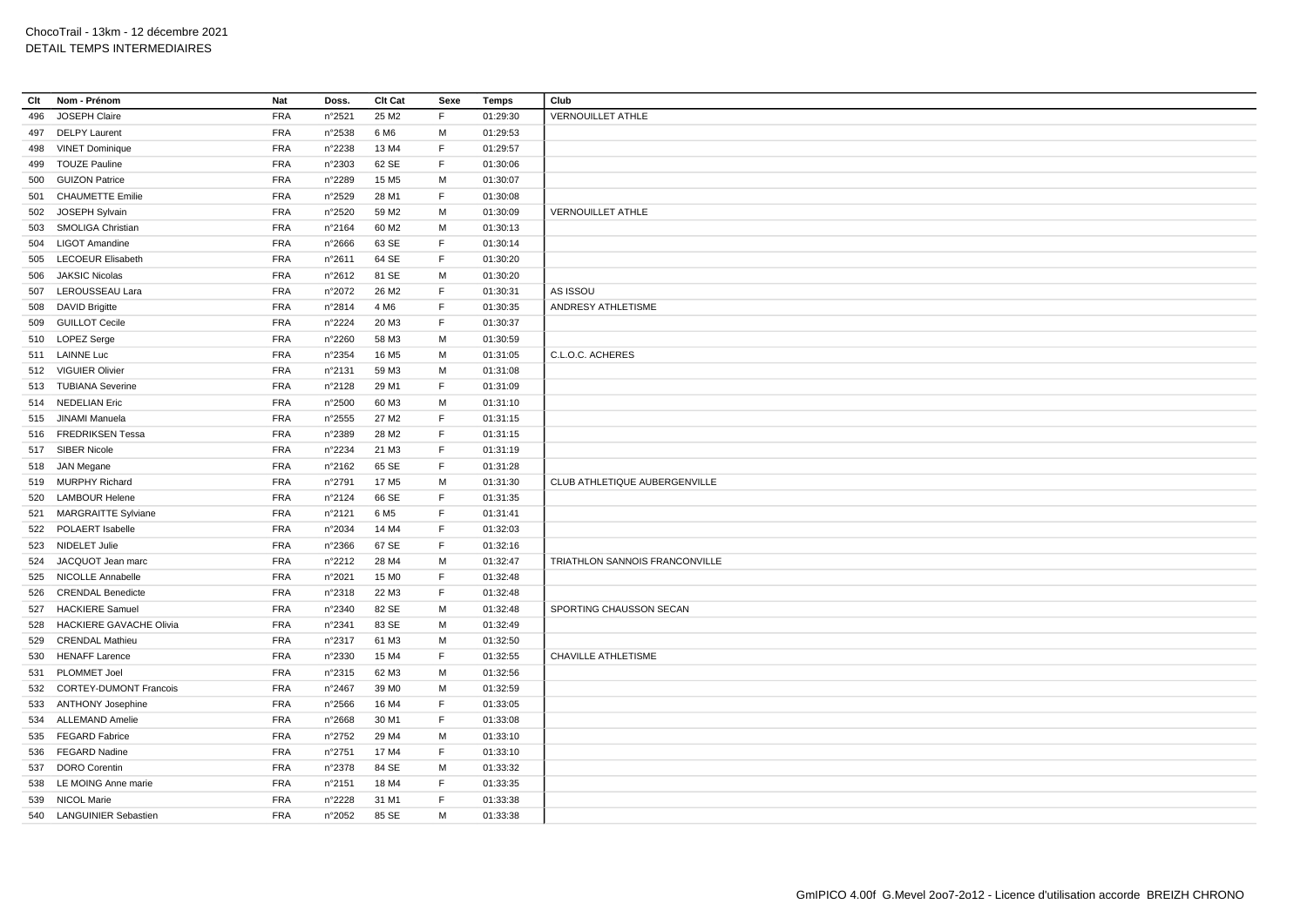| Clt | Nom - Prénom                   | Nat        | Doss.           | Clt Cat           | Sexe        | <b>Temps</b> | Club                           |
|-----|--------------------------------|------------|-----------------|-------------------|-------------|--------------|--------------------------------|
| 496 | JOSEPH Claire                  | <b>FRA</b> | n°2521          | 25 M2             | F           | 01:29:30     | <b>VERNOUILLET ATHLE</b>       |
|     | 497 DELPY Laurent              | <b>FRA</b> | n°2538          | 6 M <sub>6</sub>  | M           | 01:29:53     |                                |
| 498 | <b>VINET Dominique</b>         | <b>FRA</b> | n°2238          | 13 M4             | F           | 01:29:57     |                                |
| 499 | <b>TOUZE Pauline</b>           | <b>FRA</b> | n°2303          | 62 SE             | F           | 01:30:06     |                                |
| 500 | <b>GUIZON Patrice</b>          | <b>FRA</b> | n°2289          | 15 M <sub>5</sub> | M           | 01:30:07     |                                |
| 501 | <b>CHAUMETTE Emilie</b>        | <b>FRA</b> | n°2529          | 28 M1             | F           | 01:30:08     |                                |
|     | 502 JOSEPH Sylvain             | <b>FRA</b> | n°2520          | 59 M2             | M           | 01:30:09     | <b>VERNOUILLET ATHLE</b>       |
| 503 | <b>SMOLIGA Christian</b>       | <b>FRA</b> | n°2164          | 60 M <sub>2</sub> | М           | 01:30:13     |                                |
| 504 | <b>LIGOT Amandine</b>          | <b>FRA</b> | n°2666          | 63 SE             | F           | 01:30:14     |                                |
| 505 | <b>LECOEUR Elisabeth</b>       | <b>FRA</b> | n°2611          | 64 SE             | F           | 01:30:20     |                                |
| 506 | <b>JAKSIC Nicolas</b>          | <b>FRA</b> | $n^{\circ}2612$ | 81 SE             | M           | 01:30:20     |                                |
|     | 507 LEROUSSEAU Lara            | <b>FRA</b> | n°2072          | 26 M <sub>2</sub> | F           | 01:30:31     | AS ISSOU                       |
| 508 | <b>DAVID Brigitte</b>          | <b>FRA</b> | n°2814          | 4 M <sub>6</sub>  | F           | 01:30:35     | ANDRESY ATHLETISME             |
| 509 | <b>GUILLOT Cecile</b>          | <b>FRA</b> | n°2224          | 20 M3             | F           | 01:30:37     |                                |
|     | 510 LOPEZ Serge                | <b>FRA</b> | n°2260          | 58 M3             | М           | 01:30:59     |                                |
|     | 511 LAINNE Luc                 | <b>FRA</b> | n°2354          | 16 M <sub>5</sub> | M           | 01:31:05     | C.L.O.C. ACHERES               |
|     | 512 VIGUIER Olivier            | <b>FRA</b> | n°2131          | 59 M3             | М           |              |                                |
|     |                                |            |                 |                   | F           | 01:31:08     |                                |
|     | 513 TUBIANA Severine           | <b>FRA</b> | n°2128          | 29 M1             |             | 01:31:09     |                                |
|     | 514 NEDELIAN Eric              | <b>FRA</b> | n°2500          | 60 M3             | M           | 01:31:10     |                                |
|     | 515 JINAMI Manuela             | <b>FRA</b> | n°2555          | 27 M <sub>2</sub> | F.          | 01:31:15     |                                |
|     | 516 FREDRIKSEN Tessa           | <b>FRA</b> | n°2389          | 28 M2             | $\mathsf F$ | 01:31:15     |                                |
|     | 517 SIBER Nicole               | <b>FRA</b> | n°2234          | 21 M3             | F           | 01:31:19     |                                |
|     | 518 JAN Megane                 | <b>FRA</b> | n°2162          | 65 SE             | F           | 01:31:28     |                                |
| 519 | <b>MURPHY Richard</b>          | <b>FRA</b> | n°2791          | 17 M <sub>5</sub> | M           | 01:31:30     | CLUB ATHLETIQUE AUBERGENVILLE  |
| 520 | <b>LAMBOUR Helene</b>          | <b>FRA</b> | n°2124          | 66 SE             | F           | 01:31:35     |                                |
| 521 | <b>MARGRAITTE Sylviane</b>     | <b>FRA</b> | n°2121          | 6 M <sub>5</sub>  | F           | 01:31:41     |                                |
|     | 522 POLAERT Isabelle           | <b>FRA</b> | n°2034          | 14 M4             | F           | 01:32:03     |                                |
|     | 523 NIDELET Julie              | <b>FRA</b> | n°2366          | 67 SE             | F.          | 01:32:16     |                                |
| 524 | JACQUOT Jean marc              | <b>FRA</b> | n°2212          | 28 M4             | M           | 01:32:47     | TRIATHLON SANNOIS FRANCONVILLE |
|     | 525 NICOLLE Annabelle          | <b>FRA</b> | n°2021          | 15 M <sub>0</sub> | F           | 01:32:48     |                                |
| 526 | <b>CRENDAL Benedicte</b>       | <b>FRA</b> | n°2318          | 22 M3             | F           | 01:32:48     |                                |
| 527 | <b>HACKIERE Samuel</b>         | <b>FRA</b> | n°2340          | 82 SE             | M           | 01:32:48     | SPORTING CHAUSSON SECAN        |
| 528 | <b>HACKIERE GAVACHE Olivia</b> | <b>FRA</b> | n°2341          | 83 SE             | M           | 01:32:49     |                                |
| 529 | <b>CRENDAL Mathieu</b>         | <b>FRA</b> | n°2317          | 61 M3             | M           | 01:32:50     |                                |
| 530 | <b>HENAFF Larence</b>          | <b>FRA</b> | n°2330          | 15 M4             | F           | 01:32:55     | <b>CHAVILLE ATHLETISME</b>     |
| 531 | <b>PLOMMET Joel</b>            | <b>FRA</b> | n°2315          | 62 M3             | M           | 01:32:56     |                                |
| 532 | <b>CORTEY-DUMONT Francois</b>  | <b>FRA</b> | n°2467          | 39 MO             | M           | 01:32:59     |                                |
|     | 533 ANTHONY Josephine          | <b>FRA</b> | n°2566          | 16 M4             | F.          | 01:33:05     |                                |
|     | 534 ALLEMAND Amelie            | <b>FRA</b> | n°2668          | 30 M1             | F           | 01:33:08     |                                |
| 535 | <b>FEGARD Fabrice</b>          | <b>FRA</b> | n°2752          | 29 M4             | M           | 01:33:10     |                                |
| 536 | <b>FEGARD Nadine</b>           | <b>FRA</b> | n°2751          | 17 M4             | F.          | 01:33:10     |                                |
| 537 | <b>DORO</b> Corentin           | <b>FRA</b> | n°2378          | 84 SE             | M           | 01:33:32     |                                |
|     | 538 LE MOING Anne marie        | <b>FRA</b> | n°2151          | 18 M4             | F           | 01:33:35     |                                |
|     | 539 NICOL Marie                | <b>FRA</b> | n°2228          | 31 M1             | F           | 01:33:38     |                                |
|     | 540 LANGUINIER Sebastien       | <b>FRA</b> | n°2052          | 85 SE             | M           | 01:33:38     |                                |
|     |                                |            |                 |                   |             |              |                                |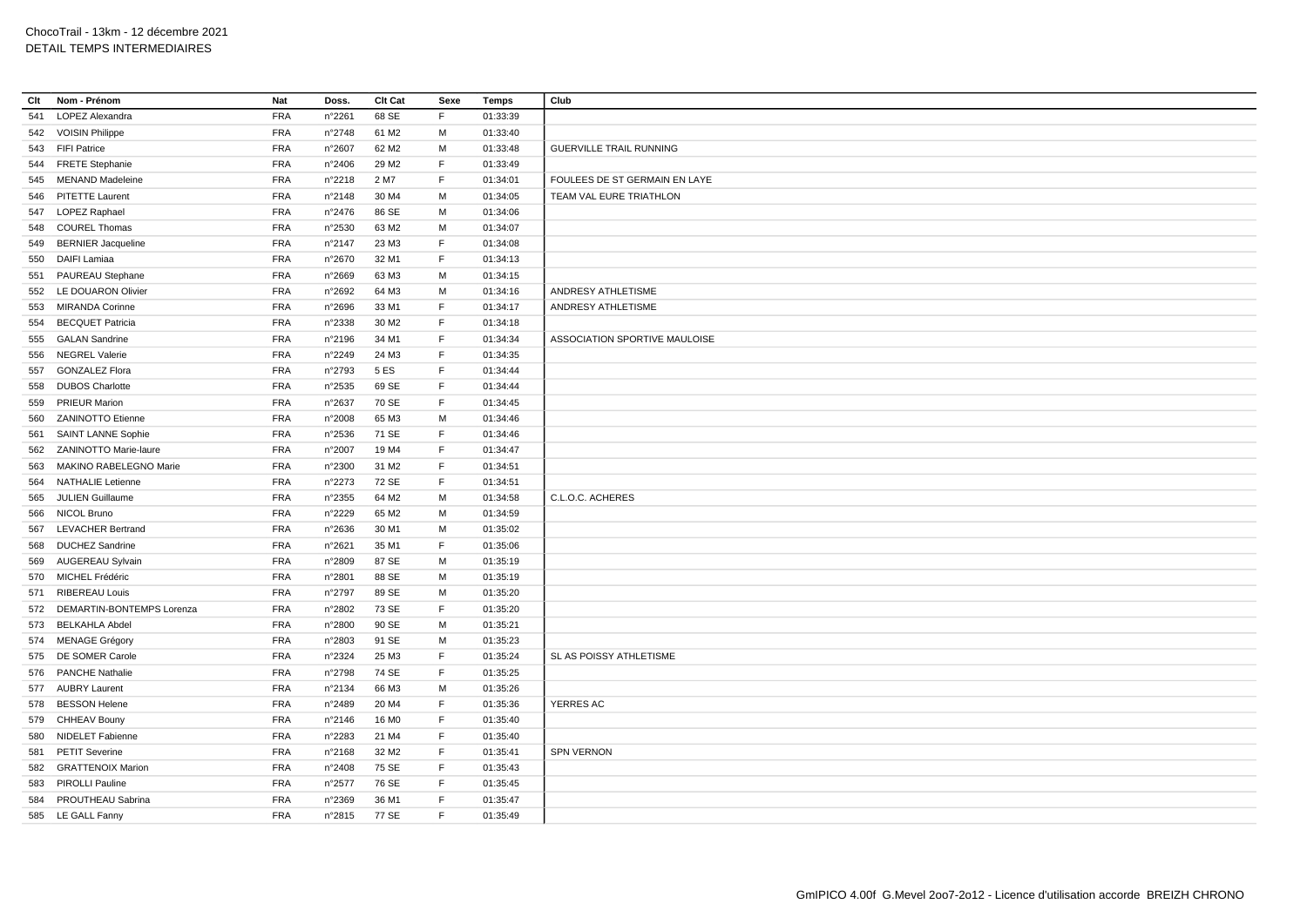| Clt | Nom - Prénom              | Nat        | Doss.           | Clt Cat           | Sexe        | Temps    | Club                           |
|-----|---------------------------|------------|-----------------|-------------------|-------------|----------|--------------------------------|
| 541 | LOPEZ Alexandra           | FRA        | n°2261          | 68 SE             | F           | 01:33:39 |                                |
|     | 542 VOISIN Philippe       | <b>FRA</b> | n°2748          | 61 M2             | M           | 01:33:40 |                                |
|     | 543 FIFI Patrice          | <b>FRA</b> | n°2607          | 62 M <sub>2</sub> | М           | 01:33:48 | <b>GUERVILLE TRAIL RUNNING</b> |
|     | 544 FRETE Stephanie       | <b>FRA</b> | n°2406          | 29 M <sub>2</sub> | F           | 01:33:49 |                                |
|     | 545 MENAND Madeleine      | <b>FRA</b> | n°2218          | 2 M7              | F           | 01:34:01 | FOULEES DE ST GERMAIN EN LAYE  |
| 546 | <b>PITETTE Laurent</b>    | <b>FRA</b> | n°2148          | 30 M4             | M           | 01:34:05 | TEAM VAL EURE TRIATHLON        |
|     | 547 LOPEZ Raphael         | <b>FRA</b> | n°2476          | 86 SE             | M           | 01:34:06 |                                |
| 548 | <b>COUREL Thomas</b>      | <b>FRA</b> | n°2530          | 63 M2             | M           | 01:34:07 |                                |
| 549 | <b>BERNIER Jacqueline</b> | <b>FRA</b> | n°2147          | 23 M3             | F           | 01:34:08 |                                |
| 550 | DAIFI Lamiaa              | <b>FRA</b> | n°2670          | 32 M1             | F           | 01:34:13 |                                |
| 551 | PAUREAU Stephane          | <b>FRA</b> | n°2669          | 63 M3             | M           | 01:34:15 |                                |
|     | 552 LE DOUARON Olivier    | <b>FRA</b> | n°2692          | 64 M3             | M           | 01:34:16 | ANDRESY ATHLETISME             |
| 553 | <b>MIRANDA Corinne</b>    | <b>FRA</b> | n°2696          | 33 M1             | F           | 01:34:17 | ANDRESY ATHLETISME             |
| 554 | <b>BECQUET Patricia</b>   | <b>FRA</b> | n°2338          | 30 M <sub>2</sub> | $\mathsf F$ | 01:34:18 |                                |
|     | 555 GALAN Sandrine        | <b>FRA</b> | n°2196          | 34 M1             | F.          | 01:34:34 | ASSOCIATION SPORTIVE MAULOISE  |
| 556 | <b>NEGREL Valerie</b>     | <b>FRA</b> | n°2249          | 24 M3             | F.          | 01:34:35 |                                |
| 557 | <b>GONZALEZ Flora</b>     | <b>FRA</b> | n°2793          | 5 ES              | F.          | 01:34:44 |                                |
| 558 | <b>DUBOS Charlotte</b>    | <b>FRA</b> | n°2535          | 69 SE             | F.          | 01:34:44 |                                |
| 559 | <b>PRIEUR Marion</b>      | <b>FRA</b> | n°2637          | 70 SE             | F.          | 01:34:45 |                                |
| 560 | <b>ZANINOTTO Etienne</b>  | <b>FRA</b> | n°2008          | 65 M3             | M           | 01:34:46 |                                |
| 561 | SAINT LANNE Sophie        | <b>FRA</b> | n°2536          | 71 SE             | F           | 01:34:46 |                                |
|     | 562 ZANINOTTO Marie-laure | <b>FRA</b> | n°2007          | 19 M4             | F           | 01:34:47 |                                |
| 563 | MAKINO RABELEGNO Marie    | <b>FRA</b> | n°2300          | 31 M2             | F           | 01:34:51 |                                |
| 564 | <b>NATHALIE Letienne</b>  | <b>FRA</b> | n°2273          | 72 SE             | F.          | 01:34:51 |                                |
| 565 | <b>JULIEN Guillaume</b>   | <b>FRA</b> | n°2355          | 64 M2             | M           | 01:34:58 | C.L.O.C. ACHERES               |
| 566 | NICOL Bruno               | <b>FRA</b> | n°2229          | 65 M2             | M           | 01:34:59 |                                |
| 567 | <b>LEVACHER Bertrand</b>  | <b>FRA</b> | n°2636          | 30 M1             | М           | 01:35:02 |                                |
| 568 | <b>DUCHEZ Sandrine</b>    | <b>FRA</b> | n°2621          | 35 M1             | F.          | 01:35:06 |                                |
|     | 569 AUGEREAU Sylvain      | <b>FRA</b> | n°2809          | 87 SE             | M           | 01:35:19 |                                |
|     | 570 MICHEL Frédéric       | <b>FRA</b> | n°2801          | 88 SE             | M           | 01:35:19 |                                |
| 571 | <b>RIBEREAU Louis</b>     | <b>FRA</b> | n°2797          | 89 SE             | M           | 01:35:20 |                                |
| 572 | DEMARTIN-BONTEMPS Lorenza | <b>FRA</b> | n°2802          | 73 SE             | F           | 01:35:20 |                                |
|     | 573 BELKAHLA Abdel        | <b>FRA</b> | n°2800          | 90 SE             | M           | 01:35:21 |                                |
|     | 574 MENAGE Grégory        | FRA        | n°2803          | 91 SE             | M           | 01:35:23 |                                |
| 575 | <b>DE SOMER Carole</b>    | <b>FRA</b> | n°2324          | 25 M3             | F.          | 01:35:24 | SL AS POISSY ATHLETISME        |
|     | 576 PANCHE Nathalie       | <b>FRA</b> | n°2798          | 74 SE             | F.          | 01:35:25 |                                |
|     | 577 AUBRY Laurent         | <b>FRA</b> | n°2134          | 66 M3             | M           | 01:35:26 |                                |
|     | 578 BESSON Helene         | <b>FRA</b> | n°2489          | 20 M4             | F.          | 01:35:36 | YERRES AC                      |
| 579 | CHHEAV Bouny              | <b>FRA</b> | n°2146          | 16 M <sub>0</sub> | F           | 01:35:40 |                                |
| 580 | NIDELET Fabienne          | <b>FRA</b> | n°2283          | 21 M4             | F           | 01:35:40 |                                |
| 581 | <b>PETIT Severine</b>     | <b>FRA</b> | n°2168          | 32 M <sub>2</sub> | F           | 01:35:41 | <b>SPN VERNON</b>              |
|     | 582 GRATTENOIX Marion     | <b>FRA</b> | n°2408          | 75 SE             | F           | 01:35:43 |                                |
| 583 | PIROLLI Pauline           | <b>FRA</b> | $n^{\circ}2577$ | 76 SE             | $\mathsf F$ | 01:35:45 |                                |
| 584 | PROUTHEAU Sabrina         | <b>FRA</b> | n°2369          | 36 M1             | F.          | 01:35:47 |                                |
|     | 585 LE GALL Fanny         | <b>FRA</b> | n°2815          | 77 SE             | E           | 01:35:49 |                                |
|     |                           |            |                 |                   |             |          |                                |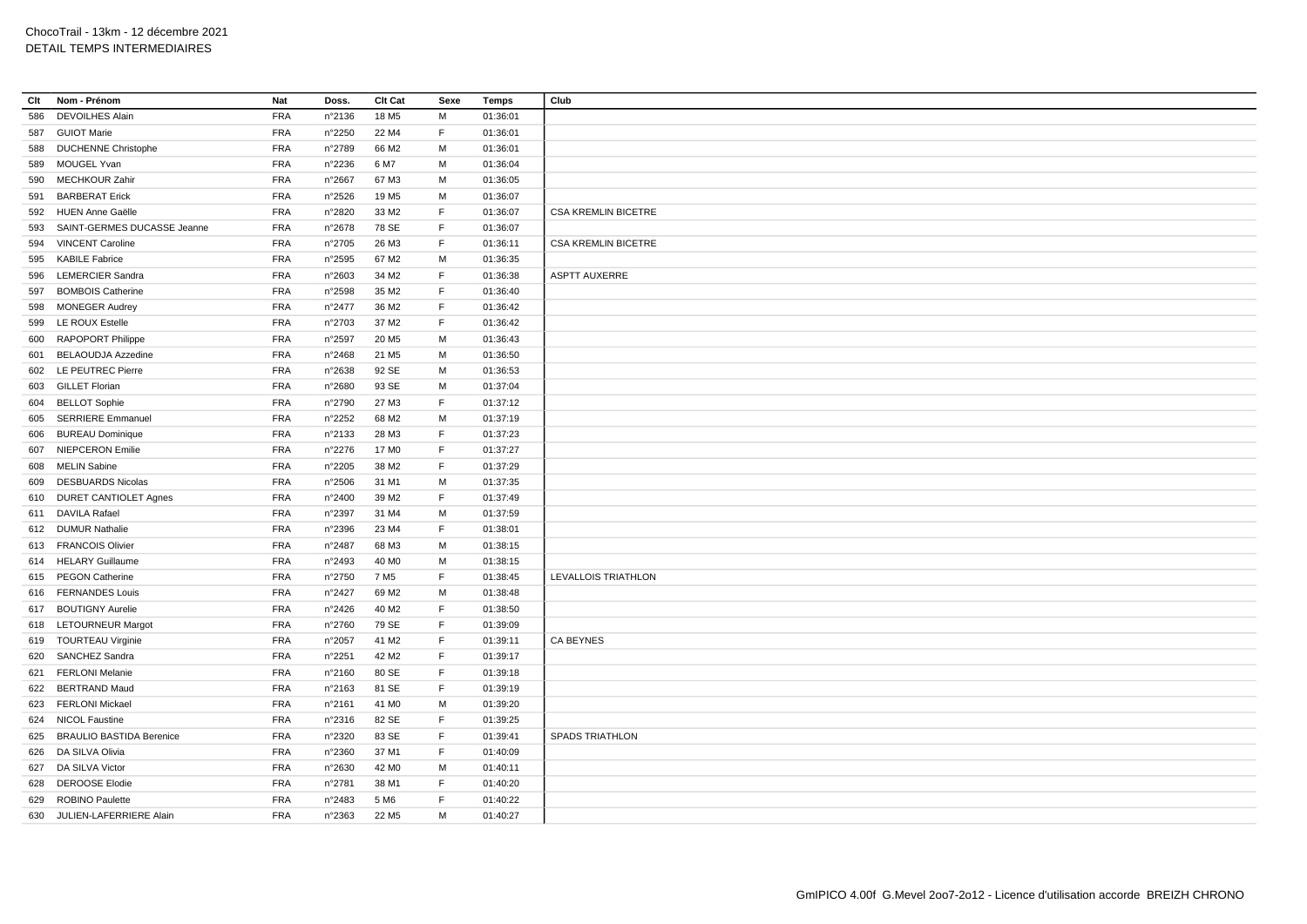| Clt | Nom - Prénom                    | Nat        | Doss.           | Clt Cat           | Sexe        | <b>Temps</b> | Club                       |
|-----|---------------------------------|------------|-----------------|-------------------|-------------|--------------|----------------------------|
| 586 | <b>DEVOILHES Alain</b>          | <b>FRA</b> | n°2136          | 18 M <sub>5</sub> | М           | 01:36:01     |                            |
|     | 587 GUIOT Marie                 | <b>FRA</b> | n°2250          | 22 M4             | F.          | 01:36:01     |                            |
|     | 588 DUCHENNE Christophe         | <b>FRA</b> | n°2789          | 66 M2             | M           | 01:36:01     |                            |
| 589 | MOUGEL Yvan                     | <b>FRA</b> | n°2236          | 6 M7              | M           | 01:36:04     |                            |
| 590 | <b>MECHKOUR Zahir</b>           | <b>FRA</b> | n°2667          | 67 M3             | M           | 01:36:05     |                            |
| 591 | <b>BARBERAT Erick</b>           | <b>FRA</b> | $n^{\circ}2526$ | 19 M <sub>5</sub> | М           | 01:36:07     |                            |
|     | 592 HUEN Anne Gaëlle            | <b>FRA</b> | n°2820          | 33 M2             | F           | 01:36:07     | <b>CSA KREMLIN BICETRE</b> |
| 593 | SAINT-GERMES DUCASSE Jeanne     | <b>FRA</b> | n°2678          | 78 SE             | $\mathsf F$ | 01:36:07     |                            |
| 594 | <b>VINCENT Caroline</b>         | <b>FRA</b> | n°2705          | 26 M3             | F.          | 01:36:11     | <b>CSA KREMLIN BICETRE</b> |
|     | 595 KABILE Fabrice              | <b>FRA</b> | n°2595          | 67 M2             | M           | 01:36:35     |                            |
| 596 | <b>LEMERCIER Sandra</b>         | <b>FRA</b> | $n^{\circ}2603$ | 34 M2             | $\mathsf F$ | 01:36:38     | <b>ASPTT AUXERRE</b>       |
| 597 | <b>BOMBOIS Catherine</b>        | <b>FRA</b> | n°2598          | 35 M2             | F           | 01:36:40     |                            |
| 598 | <b>MONEGER Audrey</b>           | <b>FRA</b> | n°2477          | 36 M2             | F           | 01:36:42     |                            |
| 599 | <b>LE ROUX Estelle</b>          | <b>FRA</b> | n°2703          | 37 M2             | F.          | 01:36:42     |                            |
|     | 600 RAPOPORT Philippe           | <b>FRA</b> | n°2597          | 20 M <sub>5</sub> | M           | 01:36:43     |                            |
|     | 601 BELAOUDJA Azzedine          | <b>FRA</b> | n°2468          | 21 M <sub>5</sub> | M           | 01:36:50     |                            |
|     | 602 LE PEUTREC Pierre           | <b>FRA</b> | n°2638          | 92 SE             | M           | 01:36:53     |                            |
|     | 603 GILLET Florian              | <b>FRA</b> | n°2680          | 93 SE             | M           | 01:37:04     |                            |
|     | 604 BELLOT Sophie               | <b>FRA</b> | n°2790          | 27 M3             | $\mathsf F$ | 01:37:12     |                            |
| 605 | <b>SERRIERE Emmanuel</b>        | <b>FRA</b> | n°2252          | 68 M2             | M           | 01:37:19     |                            |
| 606 | <b>BUREAU Dominique</b>         | <b>FRA</b> | n°2133          | 28 M3             | F           | 01:37:23     |                            |
|     | 607 NIEPCERON Emilie            | <b>FRA</b> | n°2276          | 17 M <sub>0</sub> | F.          | 01:37:27     |                            |
|     | 608 MELIN Sabine                | <b>FRA</b> | n°2205          | 38 M2             | F           | 01:37:29     |                            |
| 609 | <b>DESBUARDS Nicolas</b>        | <b>FRA</b> | n°2506          | 31 M1             | M           | 01:37:35     |                            |
|     | 610 DURET CANTIOLET Agnes       | <b>FRA</b> | n°2400          | 39 M <sub>2</sub> | F           | 01:37:49     |                            |
|     | 611 DAVILA Rafael               | <b>FRA</b> | n°2397          | 31 M4             | M           | 01:37:59     |                            |
|     | 612 DUMUR Nathalie              | <b>FRA</b> | n°2396          | 23 M4             | F.          | 01:38:01     |                            |
|     | 613 FRANCOIS Olivier            | <b>FRA</b> | n°2487          | 68 M3             | M           | 01:38:15     |                            |
|     | 614 HELARY Guillaume            | <b>FRA</b> | n°2493          | 40 MO             | M           | 01:38:15     |                            |
|     | 615 PEGON Catherine             | <b>FRA</b> | n°2750          | 7 M <sub>5</sub>  | F           | 01:38:45     | LEVALLOIS TRIATHLON        |
|     | 616 FERNANDES Louis             | <b>FRA</b> | n°2427          | 69 M <sub>2</sub> | M           | 01:38:48     |                            |
|     | 617 BOUTIGNY Aurelie            | <b>FRA</b> | n°2426          | 40 M <sub>2</sub> | F           | 01:38:50     |                            |
|     | 618 LETOURNEUR Margot           | <b>FRA</b> | n°2760          | 79 SE             | F.          | 01:39:09     |                            |
|     | 619 TOURTEAU Virginie           | <b>FRA</b> | n°2057          | 41 M <sub>2</sub> | F           | 01:39:11     | <b>CA BEYNES</b>           |
| 620 | SANCHEZ Sandra                  | <b>FRA</b> | n°2251          | 42 M <sub>2</sub> | F.          | 01:39:17     |                            |
| 621 | <b>FERLONI Melanie</b>          | <b>FRA</b> | n°2160          | 80 SE             | $\mathsf F$ | 01:39:18     |                            |
|     | 622 BERTRAND Maud               | <b>FRA</b> | n°2163          | 81 SE             | E           | 01:39:19     |                            |
| 623 | <b>FERLONI Mickael</b>          | <b>FRA</b> | n°2161          | 41 M <sub>0</sub> | M           | 01:39:20     |                            |
|     | 624 NICOL Faustine              | <b>FRA</b> | n°2316          | 82 SE             | F           | 01:39:25     |                            |
| 625 | <b>BRAULIO BASTIDA Berenice</b> | <b>FRA</b> | n°2320          | 83 SE             | F           | 01:39:41     | SPADS TRIATHLON            |
|     | 626 DA SILVA Olivia             | <b>FRA</b> | n°2360          | 37 M1             | F.          | 01:40:09     |                            |
|     | 627 DA SILVA Victor             | <b>FRA</b> | n°2630          | 42 M <sub>0</sub> | M           | 01:40:11     |                            |
|     | 628 DEROOSE Elodie              | <b>FRA</b> | n°2781          | 38 M1             | F           | 01:40:20     |                            |
| 629 | <b>ROBINO Paulette</b>          | <b>FRA</b> | n°2483          | 5 M <sub>6</sub>  | F           | 01:40:22     |                            |
|     | 630 JULIEN-LAFERRIERE Alain     | <b>FRA</b> | n°2363          | 22 M <sub>5</sub> | M           | 01:40:27     |                            |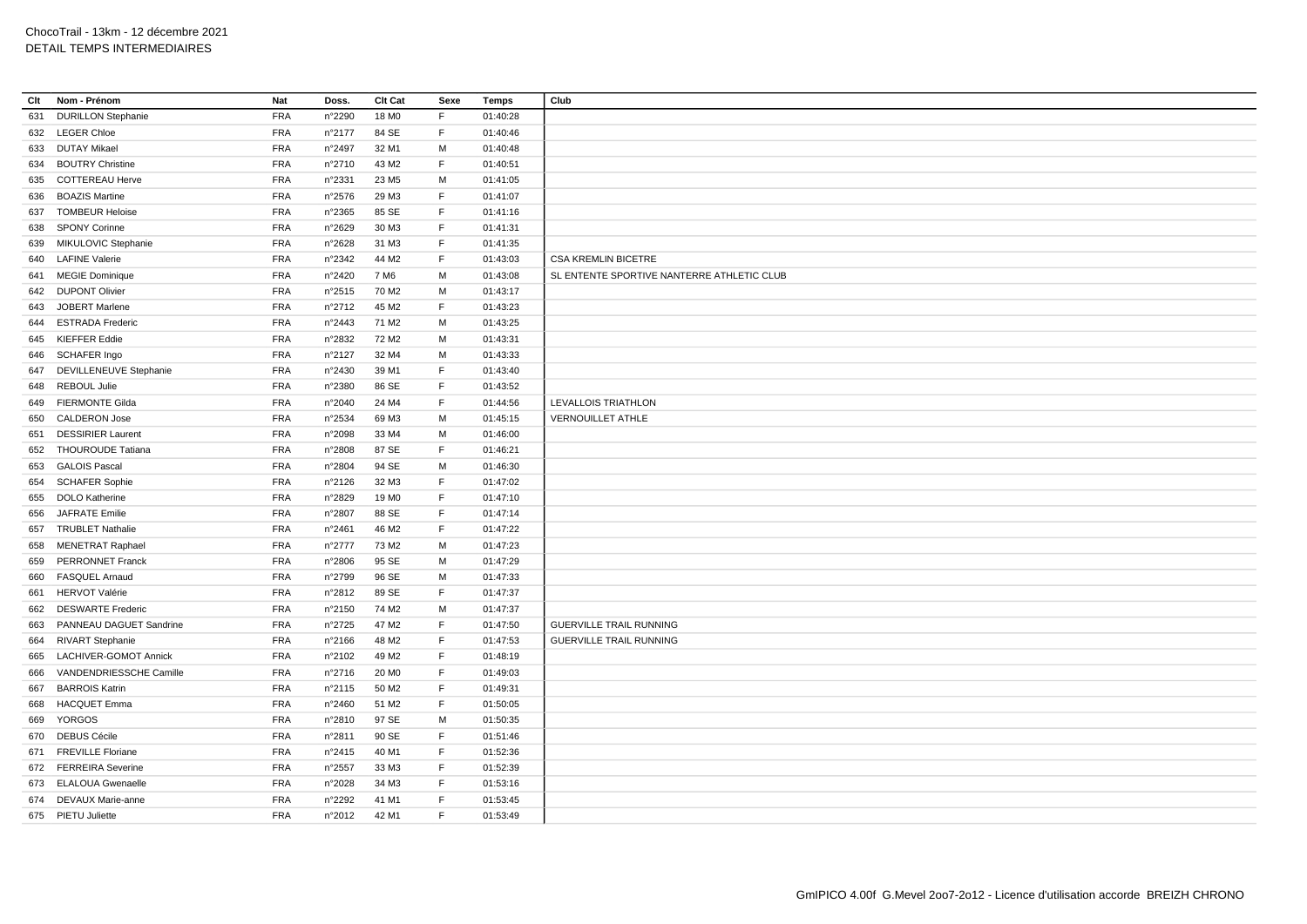| Clt | Nom - Prénom              | Nat        | Doss.           | Clt Cat           | Sexe | <b>Temps</b> | Club                                       |
|-----|---------------------------|------------|-----------------|-------------------|------|--------------|--------------------------------------------|
| 631 | <b>DURILLON Stephanie</b> | <b>FRA</b> | n°2290          | 18 M <sub>0</sub> | F    | 01:40:28     |                                            |
|     | 632 LEGER Chloe           | <b>FRA</b> | n°2177          | 84 SE             | F.   | 01:40:46     |                                            |
| 633 | DUTAY Mikael              | <b>FRA</b> | n°2497          | 32 M1             | м    | 01:40:48     |                                            |
| 634 | <b>BOUTRY Christine</b>   | <b>FRA</b> | n°2710          | 43 M2             | F.   | 01:40:51     |                                            |
| 635 | <b>COTTEREAU Herve</b>    | <b>FRA</b> | n°2331          | 23 M <sub>5</sub> | M    | 01:41:05     |                                            |
| 636 | <b>BOAZIS Martine</b>     | <b>FRA</b> | $n^{\circ}2576$ | 29 M3             | F    | 01:41:07     |                                            |
|     | 637 TOMBEUR Heloise       | <b>FRA</b> | n°2365          | 85 SE             | F    | 01:41:16     |                                            |
|     | 638 SPONY Corinne         | <b>FRA</b> | n°2629          | 30 M3             | F.   | 01:41:31     |                                            |
|     | 639 MIKULOVIC Stephanie   | <b>FRA</b> | n°2628          | 31 M3             | F    | 01:41:35     |                                            |
| 640 | <b>LAFINE Valerie</b>     | <b>FRA</b> | n°2342          | 44 M <sub>2</sub> | F.   | 01:43:03     | <b>CSA KREMLIN BICETRE</b>                 |
|     | 641 MEGIE Dominique       | <b>FRA</b> | n°2420          | 7 M6              | M    | 01:43:08     | SL ENTENTE SPORTIVE NANTERRE ATHLETIC CLUB |
|     | 642 DUPONT Olivier        | <b>FRA</b> | $n^{\circ}2515$ | 70 M2             | M    | 01:43:17     |                                            |
| 643 | <b>JOBERT Marlene</b>     | <b>FRA</b> | n°2712          | 45 M2             | F.   | 01:43:23     |                                            |
| 644 | <b>ESTRADA Frederic</b>   | <b>FRA</b> | n°2443          | 71 M2             | M    | 01:43:25     |                                            |
|     | 645 KIEFFER Eddie         | <b>FRA</b> | n°2832          | 72 M <sub>2</sub> | M    | 01:43:31     |                                            |
| 646 | SCHAFER Ingo              | <b>FRA</b> | n°2127          | 32 M4             | M    | 01:43:33     |                                            |
| 647 | DEVILLENEUVE Stephanie    | <b>FRA</b> | n°2430          | 39 M1             | F.   | 01:43:40     |                                            |
|     | 648 REBOUL Julie          | <b>FRA</b> | n°2380          | 86 SE             | F.   | 01:43:52     |                                            |
| 649 | <b>FIERMONTE Gilda</b>    | <b>FRA</b> | n°2040          | 24 M4             | F    | 01:44:56     | <b>LEVALLOIS TRIATHLON</b>                 |
| 650 | <b>CALDERON Jose</b>      | <b>FRA</b> | n°2534          | 69 M3             | М    | 01:45:15     | <b>VERNOUILLET ATHLE</b>                   |
| 651 | <b>DESSIRIER Laurent</b>  | <b>FRA</b> | n°2098          | 33 M4             | м    | 01:46:00     |                                            |
|     | 652 THOUROUDE Tatiana     | <b>FRA</b> | n°2808          | 87 SE             | F    | 01:46:21     |                                            |
|     | 653 GALOIS Pascal         | <b>FRA</b> | n°2804          | 94 SE             | M    | 01:46:30     |                                            |
|     | 654 SCHAFER Sophie        | <b>FRA</b> | n°2126          | 32 M3             | F    | 01:47:02     |                                            |
| 655 | <b>DOLO Katherine</b>     | <b>FRA</b> | n°2829          | 19 M <sub>0</sub> | F.   | 01:47:10     |                                            |
| 656 | <b>JAFRATE Emilie</b>     | <b>FRA</b> | n°2807          | 88 SE             | F    | 01:47:14     |                                            |
| 657 | <b>TRUBLET Nathalie</b>   | <b>FRA</b> | n°2461          | 46 M <sub>2</sub> | F    | 01:47:22     |                                            |
| 658 | MENETRAT Raphael          | <b>FRA</b> | n°2777          | 73 M2             | м    | 01:47:23     |                                            |
| 659 | PERRONNET Franck          | <b>FRA</b> | n°2806          | 95 SE             | M    | 01:47:29     |                                            |
| 660 | <b>FASQUEL Arnaud</b>     | <b>FRA</b> | n°2799          | 96 SE             | м    | 01:47:33     |                                            |
| 661 | <b>HERVOT Valérie</b>     | <b>FRA</b> | n°2812          | 89 SE             | F    | 01:47:37     |                                            |
| 662 | <b>DESWARTE Frederic</b>  | <b>FRA</b> | n°2150          | 74 M2             | M    | 01:47:37     |                                            |
| 663 | PANNEAU DAGUET Sandrine   | <b>FRA</b> | $n^{\circ}2725$ | 47 M2             | F    | 01:47:50     | GUERVILLE TRAIL RUNNING                    |
|     | 664 RIVART Stephanie      | <b>FRA</b> | n°2166          | 48 M2             | F.   | 01:47:53     | <b>GUERVILLE TRAIL RUNNING</b>             |
| 665 | LACHIVER-GOMOT Annick     | <b>FRA</b> | n°2102          | 49 M <sub>2</sub> | F    | 01:48:19     |                                            |
| 666 | VANDENDRIESSCHE Camille   | <b>FRA</b> | n°2716          | 20 M <sub>0</sub> | F    | 01:49:03     |                                            |
| 667 | <b>BARROIS Katrin</b>     | <b>FRA</b> | n°2115          | 50 M <sub>2</sub> | F    | 01:49:31     |                                            |
| 668 | <b>HACQUET Emma</b>       | <b>FRA</b> | n°2460          | 51 M2             | F.   | 01:50:05     |                                            |
| 669 | YORGOS                    | <b>FRA</b> | n°2810          | 97 SE             | м    | 01:50:35     |                                            |
| 670 | <b>DEBUS Cécile</b>       | <b>FRA</b> | n°2811          | 90 SE             | F    | 01:51:46     |                                            |
|     | 671 FREVILLE Floriane     | <b>FRA</b> | n°2415          | 40 M1             | F    | 01:52:36     |                                            |
|     | 672 FERREIRA Severine     | <b>FRA</b> | n°2557          | 33 M3             | F.   | 01:52:39     |                                            |
|     | 673 ELALOUA Gwenaelle     | <b>FRA</b> | n°2028          | 34 M3             | F    | 01:53:16     |                                            |
|     | 674 DEVAUX Marie-anne     | <b>FRA</b> | n°2292          | 41 M1             | F    | 01:53:45     |                                            |
|     | 675 PIETU Juliette        | <b>FRA</b> | n°2012          | 42 M1             | F    | 01:53:49     |                                            |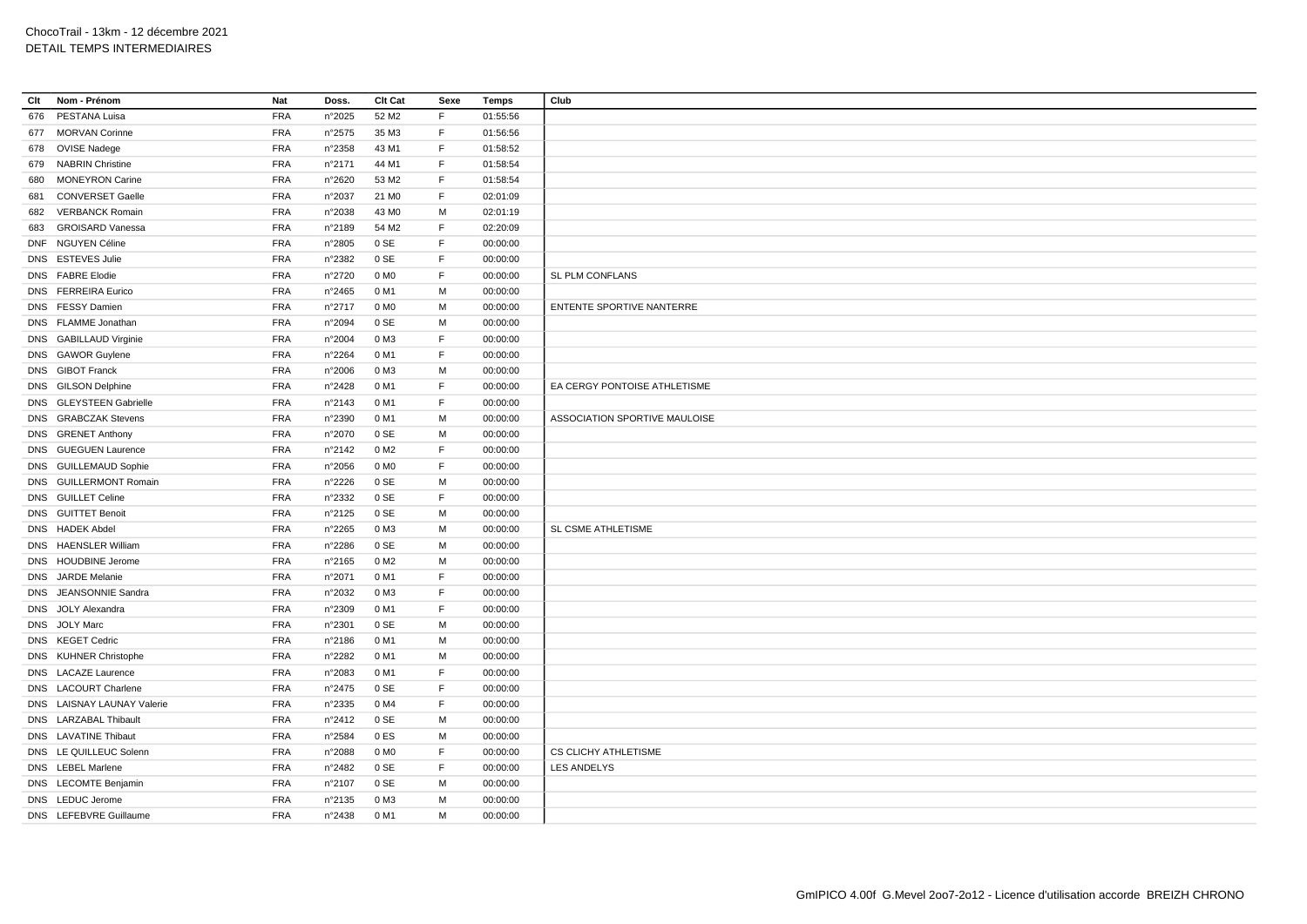| Clt | Nom - Prénom               | Nat        | Doss.           | Clt Cat           | Sexe | <b>Temps</b> | Club                          |
|-----|----------------------------|------------|-----------------|-------------------|------|--------------|-------------------------------|
| 676 | PESTANA Luisa              | <b>FRA</b> | n°2025          | 52 M2             | F    | 01:55:56     |                               |
|     | 677 MORVAN Corinne         | <b>FRA</b> | $n^{\circ}2575$ | 35 M3             | F    | 01:56:56     |                               |
|     | 678 OVISE Nadege           | <b>FRA</b> | n°2358          | 43 M1             | F    | 01:58:52     |                               |
| 679 | <b>NABRIN Christine</b>    | <b>FRA</b> | n°2171          | 44 M1             | F.   | 01:58:54     |                               |
| 680 | <b>MONEYRON Carine</b>     | <b>FRA</b> | n°2620          | 53 M2             | F    | 01:58:54     |                               |
| 681 | <b>CONVERSET Gaelle</b>    | <b>FRA</b> | n°2037          | 21 M <sub>0</sub> | F    | 02:01:09     |                               |
|     | 682 VERBANCK Romain        | <b>FRA</b> | n°2038          | 43 MO             | M    | 02:01:19     |                               |
| 683 | <b>GROISARD Vanessa</b>    | <b>FRA</b> | n°2189          | 54 M2             | F    | 02:20:09     |                               |
|     | DNF NGUYEN Céline          | <b>FRA</b> | n°2805          | 0 SE              | F    | 00:00:00     |                               |
|     | DNS ESTEVES Julie          | <b>FRA</b> | n°2382          | 0 SE              | F    | 00:00:00     |                               |
|     | DNS FABRE Elodie           | <b>FRA</b> | n°2720          | 0 M <sub>O</sub>  | F    | 00:00:00     | SL PLM CONFLANS               |
|     | DNS FERREIRA Eurico        | <b>FRA</b> | $n^{\circ}2465$ | 0 M1              | М    | 00:00:00     |                               |
|     | DNS FESSY Damien           | <b>FRA</b> | n°2717          | 0 M <sub>O</sub>  | M    | 00:00:00     | ENTENTE SPORTIVE NANTERRE     |
|     | DNS FLAMME Jonathan        | <b>FRA</b> | n°2094          | 0 SE              | M    | 00:00:00     |                               |
|     | DNS GABILLAUD Virginie     | <b>FRA</b> | n°2004          | 0 M3              | F    | 00:00:00     |                               |
|     | DNS GAWOR Guylene          | <b>FRA</b> | n°2264          | 0 M1              | F    | 00:00:00     |                               |
|     | DNS GIBOT Franck           | <b>FRA</b> | n°2006          | 0 M3              | М    | 00:00:00     |                               |
|     | DNS GILSON Delphine        | <b>FRA</b> | n°2428          | 0 M1              | F.   | 00:00:00     | EA CERGY PONTOISE ATHLETISME  |
|     | DNS GLEYSTEEN Gabrielle    | <b>FRA</b> | n°2143          | 0 M1              | F    | 00:00:00     |                               |
|     | DNS GRABCZAK Stevens       | <b>FRA</b> | n°2390          | 0 M1              | M    | 00:00:00     | ASSOCIATION SPORTIVE MAULOISE |
|     | DNS GRENET Anthony         | <b>FRA</b> | n°2070          | 0 SE              | M    | 00:00:00     |                               |
|     | DNS GUEGUEN Laurence       | <b>FRA</b> | n°2142          | 0 M <sub>2</sub>  | F    | 00:00:00     |                               |
|     | DNS GUILLEMAUD Sophie      | <b>FRA</b> | n°2056          | 0 M <sub>0</sub>  | F    | 00:00:00     |                               |
|     | DNS GUILLERMONT Romain     | <b>FRA</b> | n°2226          | 0 SE              | М    | 00:00:00     |                               |
|     | DNS GUILLET Celine         | <b>FRA</b> | n°2332          | 0 SE              | F    | 00:00:00     |                               |
|     | DNS GUITTET Benoit         | <b>FRA</b> | n°2125          | 0 SE              | М    | 00:00:00     |                               |
|     | DNS HADEK Abdel            | <b>FRA</b> | n°2265          | 0 M3              | M    | 00:00:00     | SL CSME ATHLETISME            |
|     | DNS HAENSLER William       | <b>FRA</b> | n°2286          | 0 SE              | м    | 00:00:00     |                               |
|     | DNS HOUDBINE Jerome        | <b>FRA</b> | n°2165          | 0 M <sub>2</sub>  | M    | 00:00:00     |                               |
|     | DNS JARDE Melanie          | <b>FRA</b> | n°2071          | 0 M1              | F    | 00:00:00     |                               |
|     | DNS JEANSONNIE Sandra      | <b>FRA</b> | n°2032          | 0 M3              | F    | 00:00:00     |                               |
|     | DNS JOLY Alexandra         | <b>FRA</b> | n°2309          | 0 M1              | F    | 00:00:00     |                               |
|     | DNS JOLY Marc              | <b>FRA</b> | n°2301          | 0 SE              | М    | 00:00:00     |                               |
|     | DNS KEGET Cedric           | <b>FRA</b> | $n^{\circ}2186$ | 0 M1              | M    | 00:00:00     |                               |
|     | DNS KUHNER Christophe      | <b>FRA</b> | n°2282          | 0 M1              | М    | 00:00:00     |                               |
|     | DNS LACAZE Laurence        | <b>FRA</b> | n°2083          | 0 M1              | F    | 00:00:00     |                               |
|     | DNS LACOURT Charlene       | <b>FRA</b> | n°2475          | 0 SE              | F    | 00:00:00     |                               |
|     | DNS LAISNAY LAUNAY Valerie | <b>FRA</b> | n°2335          | 0 M4              | F    | 00:00:00     |                               |
|     | DNS LARZABAL Thibault      | <b>FRA</b> | n°2412          | 0 SE              | M    | 00:00:00     |                               |
|     | DNS LAVATINE Thibaut       | <b>FRA</b> | n°2584          | 0ES               | М    | 00:00:00     |                               |
|     | DNS LE QUILLEUC Solenn     | <b>FRA</b> | n°2088          | 0 M <sub>0</sub>  | F    | 00:00:00     | CS CLICHY ATHLETISME          |
|     | DNS LEBEL Marlene          | <b>FRA</b> | n°2482          | 0 SE              | F    | 00:00:00     | <b>LES ANDELYS</b>            |
|     | DNS LECOMTE Benjamin       | <b>FRA</b> | n°2107          | 0 SE              | M    | 00:00:00     |                               |
|     | DNS LEDUC Jerome           | <b>FRA</b> | n°2135          | 0 M3              | M    | 00:00:00     |                               |
|     | DNS LEFEBVRE Guillaume     | <b>FRA</b> | n°2438          | 0 M1              | М    | 00:00:00     |                               |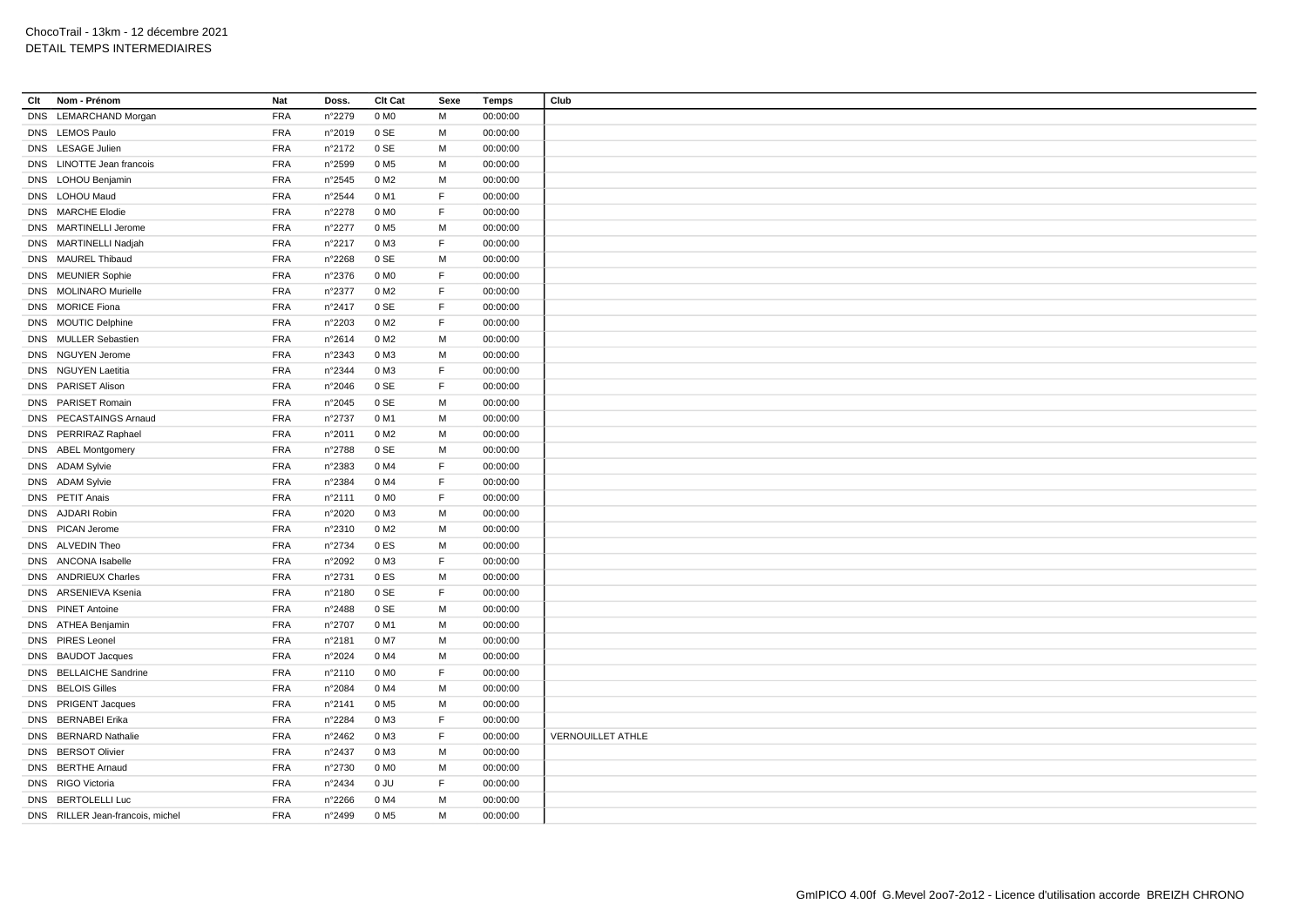| Clt        | Nom - Prénom                     | Nat        | Doss.           | Clt Cat          | Sexe | <b>Temps</b> | Club                     |
|------------|----------------------------------|------------|-----------------|------------------|------|--------------|--------------------------|
| <b>DNS</b> | <b>LEMARCHAND Morgan</b>         | <b>FRA</b> | n°2279          | 0 M <sub>0</sub> | M    | 00:00:00     |                          |
|            | DNS LEMOS Paulo                  | <b>FRA</b> | n°2019          | 0 SE             | M    | 00:00:00     |                          |
|            | DNS LESAGE Julien                | <b>FRA</b> | n°2172          | 0 SE             | M    | 00:00:00     |                          |
|            | DNS LINOTTE Jean francois        | <b>FRA</b> | n°2599          | 0 M <sub>5</sub> | M    | 00:00:00     |                          |
|            | DNS LOHOU Benjamin               | <b>FRA</b> | $n^{\circ}2545$ | 0 M <sub>2</sub> | M    | 00:00:00     |                          |
|            | DNS LOHOU Maud                   | <b>FRA</b> | n°2544          | 0 M1             | F    | 00:00:00     |                          |
|            | DNS MARCHE Elodie                | <b>FRA</b> | n°2278          | 0 M <sub>0</sub> | F    | 00:00:00     |                          |
|            | DNS MARTINELLI Jerome            | <b>FRA</b> | n°2277          | 0 M <sub>5</sub> | M    | 00:00:00     |                          |
|            | DNS MARTINELLI Nadjah            | <b>FRA</b> | n°2217          | 0 M3             | F    | 00:00:00     |                          |
|            | DNS MAUREL Thibaud               | <b>FRA</b> | n°2268          | 0 SE             | M    | 00:00:00     |                          |
|            | DNS MEUNIER Sophie               | <b>FRA</b> | n°2376          | 0 M <sub>0</sub> | E    | 00:00:00     |                          |
|            | DNS MOLINARO Murielle            | <b>FRA</b> | n°2377          | 0 M <sub>2</sub> | F    | 00:00:00     |                          |
|            | DNS MORICE Fiona                 | <b>FRA</b> | n°2417          | 0 SE             | F    | 00:00:00     |                          |
|            | DNS MOUTIC Delphine              | <b>FRA</b> | n°2203          | 0 M <sub>2</sub> | F    | 00:00:00     |                          |
|            | DNS MULLER Sebastien             | <b>FRA</b> | n°2614          | 0 M2             | M    | 00:00:00     |                          |
|            | DNS NGUYEN Jerome                | <b>FRA</b> | n°2343          | 0 M3             | M    | 00:00:00     |                          |
|            | DNS NGUYEN Laetitia              | <b>FRA</b> | n°2344          | 0 M3             | F    | 00:00:00     |                          |
|            | DNS PARISET Alison               | <b>FRA</b> | n°2046          | 0 SE             | F    | 00:00:00     |                          |
|            | DNS PARISET Romain               | <b>FRA</b> | n°2045          | 0 SE             | M    | 00:00:00     |                          |
|            | DNS PECASTAINGS Arnaud           | <b>FRA</b> | n°2737          | 0 M1             | M    | 00:00:00     |                          |
|            | DNS PERRIRAZ Raphael             | <b>FRA</b> | n°2011          | 0 M <sub>2</sub> | M    | 00:00:00     |                          |
|            | DNS ABEL Montgomery              | <b>FRA</b> | n°2788          | 0 SE             | M    | 00:00:00     |                          |
|            | DNS ADAM Sylvie                  | <b>FRA</b> | n°2383          | 0 M4             | F    | 00:00:00     |                          |
|            | DNS ADAM Sylvie                  | <b>FRA</b> | n°2384          | 0 M4             | E    | 00:00:00     |                          |
|            | DNS PETIT Anais                  | <b>FRA</b> | n°2111          | 0 M <sub>0</sub> | F    | 00:00:00     |                          |
|            | DNS AJDARI Robin                 | <b>FRA</b> | n°2020          | 0 M3             | M    | 00:00:00     |                          |
|            | DNS PICAN Jerome                 | <b>FRA</b> | n°2310          | 0 M <sub>2</sub> | M    | 00:00:00     |                          |
|            | DNS ALVEDIN Theo                 | <b>FRA</b> | n°2734          | 0ES              | м    | 00:00:00     |                          |
|            | DNS ANCONA Isabelle              | <b>FRA</b> | n°2092          | 0 M3             | F    | 00:00:00     |                          |
|            | DNS ANDRIEUX Charles             | <b>FRA</b> | n°2731          | 0ES              | M    | 00:00:00     |                          |
|            | DNS ARSENIEVA Ksenia             | <b>FRA</b> | n°2180          | 0 SE             | F    | 00:00:00     |                          |
|            | DNS PINET Antoine                | <b>FRA</b> | n°2488          | 0 SE             | M    | 00:00:00     |                          |
|            | DNS ATHEA Benjamin               | <b>FRA</b> | n°2707          | 0 M1             | M    | 00:00:00     |                          |
|            | DNS PIRES Leonel                 | <b>FRA</b> | n°2181          | 0 M7             | M    | 00:00:00     |                          |
|            | DNS BAUDOT Jacques               | <b>FRA</b> | n°2024          | 0 M4             | M    | 00:00:00     |                          |
|            | DNS BELLAICHE Sandrine           | <b>FRA</b> | n°2110          | 0 M <sub>0</sub> | F    | 00:00:00     |                          |
|            | DNS BELOIS Gilles                | <b>FRA</b> | n°2084          | 0 M4             | M    | 00:00:00     |                          |
|            | DNS PRIGENT Jacques              | <b>FRA</b> | n°2141          | 0 M <sub>5</sub> | M    | 00:00:00     |                          |
|            | DNS BERNABEI Erika               | <b>FRA</b> | n°2284          | 0 M3             | F    | 00:00:00     |                          |
|            | DNS BERNARD Nathalie             | <b>FRA</b> | n°2462          | 0 M3             | F    | 00:00:00     | <b>VERNOUILLET ATHLE</b> |
|            | DNS BERSOT Olivier               | <b>FRA</b> | n°2437          | 0 M3             | M    | 00:00:00     |                          |
|            | DNS BERTHE Arnaud                | <b>FRA</b> | n°2730          | 0 M <sub>0</sub> | M    | 00:00:00     |                          |
|            | DNS RIGO Victoria                | <b>FRA</b> | n°2434          | 0 JU             | F    | 00:00:00     |                          |
|            | DNS BERTOLELLI Luc               | <b>FRA</b> | n°2266          | 0 M4             | M    | 00:00:00     |                          |
|            | DNS RILLER Jean-francois, michel | <b>FRA</b> | n°2499          | 0 M <sub>5</sub> | M    | 00:00:00     |                          |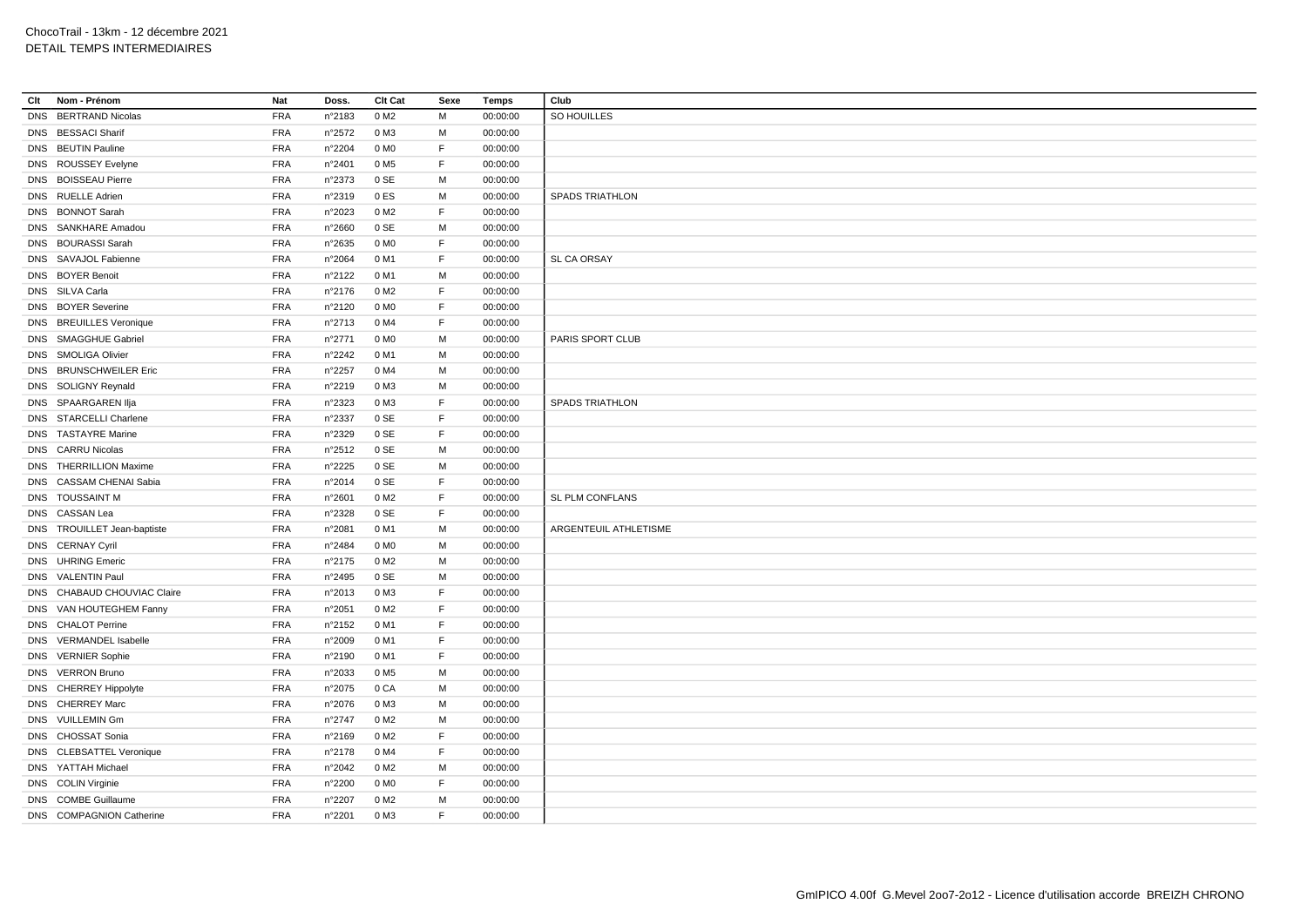| Clt | Nom - Prénom                | Nat        | Doss.            | Clt Cat          | Sexe | Temps    | Club                   |
|-----|-----------------------------|------------|------------------|------------------|------|----------|------------------------|
|     | DNS BERTRAND Nicolas        | <b>FRA</b> | n°2183           | 0 M <sub>2</sub> | M    | 00:00:00 | SO HOUILLES            |
|     | DNS BESSACI Sharif          | <b>FRA</b> | $n^{\circ}2572$  | 0 M3             | М    | 00:00:00 |                        |
|     | DNS BEUTIN Pauline          | <b>FRA</b> | n°2204           | 0 M <sub>0</sub> | F    | 00:00:00 |                        |
|     | DNS ROUSSEY Evelyne         | <b>FRA</b> | n°2401           | 0 M <sub>5</sub> | F    | 00:00:00 |                        |
|     | DNS BOISSEAU Pierre         | <b>FRA</b> | n°2373           | 0 SE             | М    | 00:00:00 |                        |
|     | DNS RUELLE Adrien           | <b>FRA</b> | n°2319           | 0 ES             | M    | 00:00:00 | <b>SPADS TRIATHLON</b> |
|     | DNS BONNOT Sarah            | <b>FRA</b> | n°2023           | 0 M <sub>2</sub> | F    | 00:00:00 |                        |
|     | DNS SANKHARE Amadou         | <b>FRA</b> | n°2660           | 0 SE             | М    | 00:00:00 |                        |
|     | DNS BOURASSI Sarah          | <b>FRA</b> | $n^{\circ}2635$  | 0 MO             | F    | 00:00:00 |                        |
|     | DNS SAVAJOL Fabienne        | <b>FRA</b> | n°2064           | 0 M1             | F    | 00:00:00 | SL CA ORSAY            |
|     | DNS BOYER Benoit            | <b>FRA</b> | n°2122           | 0 M1             | M    | 00:00:00 |                        |
|     | DNS SILVA Carla             | <b>FRA</b> | n°2176           | 0 M <sub>2</sub> | F    | 00:00:00 |                        |
|     | DNS BOYER Severine          | <b>FRA</b> | n°2120           | 0 M <sub>0</sub> | F    | 00:00:00 |                        |
|     | DNS BREUILLES Veronique     | <b>FRA</b> | n°2713           | 0 M4             | F    | 00:00:00 |                        |
|     | DNS SMAGGHUE Gabriel        | <b>FRA</b> | n°2771           | 0 M <sub>0</sub> | M    | 00:00:00 | PARIS SPORT CLUB       |
|     | DNS SMOLIGA Olivier         | <b>FRA</b> | n°2242           | 0 M1             | M    | 00:00:00 |                        |
|     | DNS BRUNSCHWEILER Eric      | <b>FRA</b> | n°2257           | 0 M4             | M    | 00:00:00 |                        |
|     | DNS SOLIGNY Reynald         | <b>FRA</b> | n°2219           | 0 M3             | М    | 00:00:00 |                        |
|     | DNS SPAARGAREN IIja         | <b>FRA</b> | n°2323           | 0 M3             | F    | 00:00:00 | <b>SPADS TRIATHLON</b> |
|     | DNS STARCELLI Charlene      | <b>FRA</b> | n°2337           | 0 SE             | E    | 00:00:00 |                        |
|     | DNS TASTAYRE Marine         | <b>FRA</b> | n°2329           | 0 SE             | F    | 00:00:00 |                        |
|     | DNS CARRU Nicolas           | <b>FRA</b> | $n^{\circ}2512$  | 0 SE             | M    | 00:00:00 |                        |
|     | DNS THERRILLION Maxime      | <b>FRA</b> | n°2225           | 0 SE             | М    | 00:00:00 |                        |
|     | DNS CASSAM CHENAI Sabia     | <b>FRA</b> | n°2014           | 0 SE             | F    | 00:00:00 |                        |
|     | DNS TOUSSAINT M             | <b>FRA</b> | n°2601           | 0 M2             | F    | 00:00:00 | SL PLM CONFLANS        |
|     | DNS CASSAN Lea              | <b>FRA</b> | n°2328           | 0 SE             | F    | 00:00:00 |                        |
|     | DNS TROUILLET Jean-baptiste | <b>FRA</b> | n°2081           | 0 M1             | М    | 00:00:00 | ARGENTEUIL ATHLETISME  |
|     | DNS CERNAY Cyril            | <b>FRA</b> | n°2484           | 0 M <sub>0</sub> | M    | 00:00:00 |                        |
|     | DNS UHRING Emeric           | <b>FRA</b> | $n^{\circ}2175$  | 0 M <sub>2</sub> | M    | 00:00:00 |                        |
|     | DNS VALENTIN Paul           | <b>FRA</b> | $n^{\circ}$ 2495 | 0 SE             | M    | 00:00:00 |                        |
|     | DNS CHABAUD CHOUVIAC Claire | <b>FRA</b> | n°2013           | 0 M3             | F    | 00:00:00 |                        |
|     | DNS VAN HOUTEGHEM Fanny     | <b>FRA</b> | n°2051           | 0 M <sub>2</sub> | F    | 00:00:00 |                        |
|     | DNS CHALOT Perrine          | FRA        | n°2152           | 0 M1             | F    | 00:00:00 |                        |
|     | DNS VERMANDEL Isabelle      | <b>FRA</b> | n°2009           | 0 M1             | F    | 00:00:00 |                        |
|     | DNS VERNIER Sophie          | <b>FRA</b> | n°2190           | 0 M1             | F    | 00:00:00 |                        |
|     | DNS VERRON Bruno            | <b>FRA</b> | n°2033           | 0 M <sub>5</sub> | М    | 00:00:00 |                        |
|     | DNS CHERREY Hippolyte       | <b>FRA</b> | n°2075           | 0 CA             | M    | 00:00:00 |                        |
|     | DNS CHERREY Marc            | <b>FRA</b> | n°2076           | 0 M3             | M    | 00:00:00 |                        |
|     | DNS VUILLEMIN Gm            | <b>FRA</b> | n°2747           | 0 M2             | M    | 00:00:00 |                        |
|     | DNS CHOSSAT Sonia           | <b>FRA</b> | n°2169           | 0 M2             | F    | 00:00:00 |                        |
|     | DNS CLEBSATTEL Veronique    | <b>FRA</b> | n°2178           | 0 M4             | F    | 00:00:00 |                        |
|     | DNS YATTAH Michael          | <b>FRA</b> | n°2042           | 0 M2             | M    | 00:00:00 |                        |
|     | DNS COLIN Virginie          | <b>FRA</b> | n°2200           | 0 MO             | F    | 00:00:00 |                        |
|     | DNS COMBE Guillaume         | <b>FRA</b> | n°2207           | 0 M2             | M    | 00:00:00 |                        |
|     | DNS COMPAGNION Catherine    | <b>FRA</b> | n°2201           | 0 M3             | F    | 00:00:00 |                        |